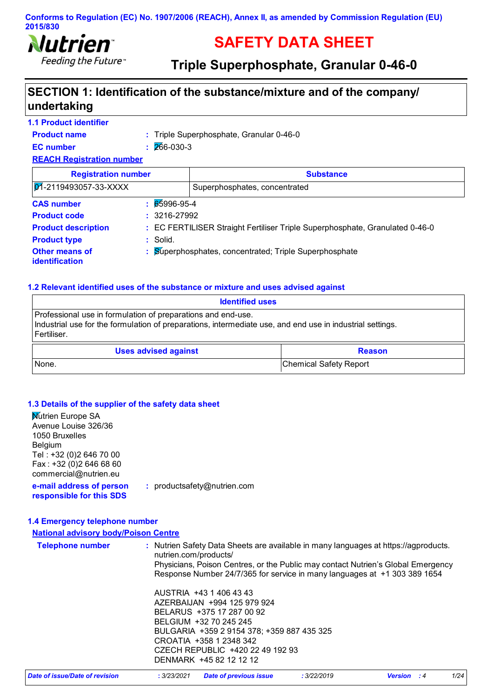

# **SAFETY DATA SHEET**

**Triple Superphosphate, Granular 0-46-0**

# **SECTION 1: Identification of the substance/mixture and of the company/ undertaking**

| <b>1.1 Product identifier</b>                  |                  |                                                                              |  |
|------------------------------------------------|------------------|------------------------------------------------------------------------------|--|
| <b>Product name</b>                            |                  | : Triple Superphosphate, Granular 0-46-0                                     |  |
| <b>EC</b> number                               | 266-030-3<br>ŧ.  |                                                                              |  |
| <b>REACH Registration number</b>               |                  |                                                                              |  |
| <b>Registration number</b><br><b>Substance</b> |                  |                                                                              |  |
| $Q_1$ -2119493057-33-XXXX                      |                  | Superphosphates, concentrated                                                |  |
| <b>CAS number</b>                              | 65996-95-4<br>٠. |                                                                              |  |
| <b>Product code</b>                            | $: 3216 - 27992$ |                                                                              |  |
| <b>Product description</b>                     |                  | : EC FERTILISER Straight Fertiliser Triple Superphosphate, Granulated 0-46-0 |  |
| <b>Product type</b>                            | $:$ Solid.       |                                                                              |  |
| Other means of<br>identification               |                  | Superphosphates, concentrated; Triple Superphosphate                         |  |

#### **1.2 Relevant identified uses of the substance or mixture and uses advised against**

| <b>Identified uses</b>                                                                                                                                                                   |                        |  |
|------------------------------------------------------------------------------------------------------------------------------------------------------------------------------------------|------------------------|--|
| Professional use in formulation of preparations and end-use.<br>Industrial use for the formulation of preparations, intermediate use, and end use in industrial settings.<br>Fertiliser. |                        |  |
| <b>Uses advised against</b>                                                                                                                                                              | <b>Reason</b>          |  |
| None.                                                                                                                                                                                    | Chemical Safety Report |  |

### **1.3 Details of the supplier of the safety data sheet**

| <b>Nutrien Europe SA</b><br>Avenue Louise 326/36<br>1050 Bruxelles<br><b>Belgium</b><br>Tel: +32 (0)2 646 70 00<br>Fax: +32 (0) 2646 68 60 |                                                                                                                                                               |
|--------------------------------------------------------------------------------------------------------------------------------------------|---------------------------------------------------------------------------------------------------------------------------------------------------------------|
| commercial@nutrien.eu                                                                                                                      |                                                                                                                                                               |
| e-mail address of person<br>responsible for this SDS                                                                                       | : productsafety@nutrien.com                                                                                                                                   |
|                                                                                                                                            |                                                                                                                                                               |
| 1.4 Emergency telephone number                                                                                                             |                                                                                                                                                               |
| <b>National advisory body/Poison Centre</b>                                                                                                |                                                                                                                                                               |
| <b>Telephone number</b>                                                                                                                    | : Nutrien Safety Data Sheets are available in many languages at https://agproducts.<br>nutrien.com/products/                                                  |
|                                                                                                                                            | Physicians, Poison Centres, or the Public may contact Nutrien's Global Emergency<br>Response Number 24/7/365 for service in many languages at +1 303 389 1654 |
|                                                                                                                                            | AUSTRIA +43 1 406 43 43                                                                                                                                       |
|                                                                                                                                            | AZERBAIJAN +994 125 979 924                                                                                                                                   |
|                                                                                                                                            | BELARUS +375 17 287 00 92                                                                                                                                     |
|                                                                                                                                            | BELGIUM +32 70 245 245                                                                                                                                        |
|                                                                                                                                            | BULGARIA +359 2 9154 378; +359 887 435 325                                                                                                                    |
|                                                                                                                                            | CROATIA +358 1 2348 342                                                                                                                                       |
|                                                                                                                                            | CZECH REPUBLIC +420 22 49 192 93                                                                                                                              |
|                                                                                                                                            | DENMARK +45 82 12 12 12                                                                                                                                       |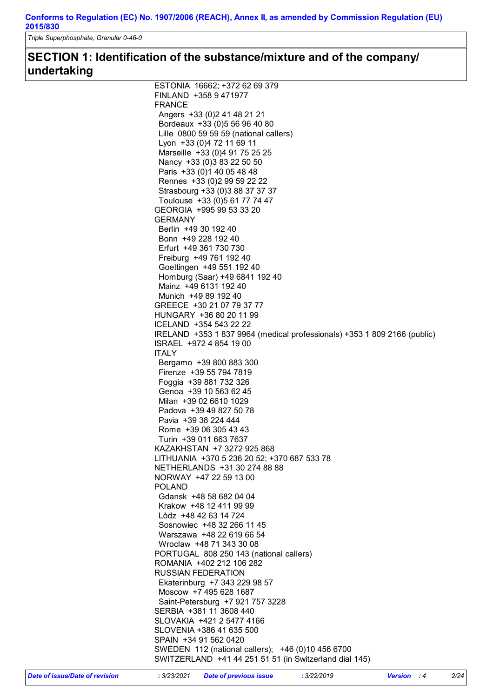*Triple Superphosphate, Granular 0-46-0*

# **SECTION 1: Identification of the substance/mixture and of the company/ undertaking**

| ESTONIA 16662; +372 62 69 379                                            |
|--------------------------------------------------------------------------|
| FINLAND +358 9 471977                                                    |
| <b>FRANCE</b>                                                            |
| Angers +33 (0) 2 41 48 21 21                                             |
| Bordeaux +33 (0) 5 56 96 40 80                                           |
| Lille 0800 59 59 59 (national callers)                                   |
| Lyon +33 (0)4 72 11 69 11                                                |
|                                                                          |
| Marseille +33 (0)4 91 75 25 25                                           |
| Nancy +33 (0)3 83 22 50 50                                               |
| Paris +33 (0) 1 40 05 48 48                                              |
| Rennes +33 (0) 2 99 59 22 22                                             |
| Strasbourg +33 (0)3 88 37 37 37                                          |
| Toulouse +33 (0) 5 61 77 74 47                                           |
| GEORGIA +995 99 53 33 20                                                 |
| <b>GERMANY</b>                                                           |
| Berlin +49 30 192 40                                                     |
| Bonn +49 228 192 40                                                      |
| Erfurt +49 361 730 730                                                   |
| Freiburg +49 761 192 40                                                  |
| Goettingen +49 551 192 40                                                |
| Homburg (Saar) +49 6841 192 40                                           |
| Mainz +49 6131 192 40                                                    |
|                                                                          |
| Munich +49 89 192 40                                                     |
| GREECE +30 21 07 79 37 77                                                |
| HUNGARY +36 80 20 11 99                                                  |
| ICELAND +354 543 22 22                                                   |
| IRELAND +353 1 837 9964 (medical professionals) +353 1 809 2166 (public) |
| ISRAEL +972 4 854 19 00                                                  |
| <b>ITALY</b>                                                             |
| Bergamo +39 800 883 300                                                  |
| Firenze +39 55 794 7819                                                  |
| Foggia +39 881 732 326                                                   |
| Genoa +39 10 563 62 45                                                   |
| Milan +39 02 6610 1029                                                   |
| Padova +39 49 827 50 78                                                  |
| Pavia +39 38 224 444                                                     |
| Rome +39 06 305 43 43                                                    |
|                                                                          |
| Turin +39 011 663 7637                                                   |
| KAZAKHSTAN +7 3272 925 868                                               |
| LITHUANIA +370 5 236 20 52; +370 687 533 78                              |
| NETHERLANDS +31 30 274 88 88                                             |
| NORWAY +47 22 59 13 00                                                   |
| <b>POLAND</b>                                                            |
| Gdansk +48 58 682 04 04                                                  |
| Krakow +48 12 411 99 99                                                  |
| Lòdz +48 42 63 14 724                                                    |
| Sosnowiec +48 32 266 11 45                                               |
| Warszawa +48 22 619 66 54                                                |
| Wroclaw +48 71 343 30 08                                                 |
| PORTUGAL 808 250 143 (national callers)                                  |
|                                                                          |
|                                                                          |
| ROMANIA +402 212 106 282                                                 |
| <b>RUSSIAN FEDERATION</b>                                                |
| Ekaterinburg +7 343 229 98 57                                            |
| Moscow +7 495 628 1687                                                   |
| Saint-Petersburg +7 921 757 3228                                         |
| SERBIA +381 11 3608 440                                                  |
| SLOVAKIA +421 2 5477 4166                                                |
| SLOVENIA +386 41 635 500                                                 |
| SPAIN +34 91 562 0420                                                    |
| SWEDEN 112 (national callers); +46 (0)10 456 6700                        |
| SWITZERLAND +41 44 251 51 51 (in Switzerland dial 145)                   |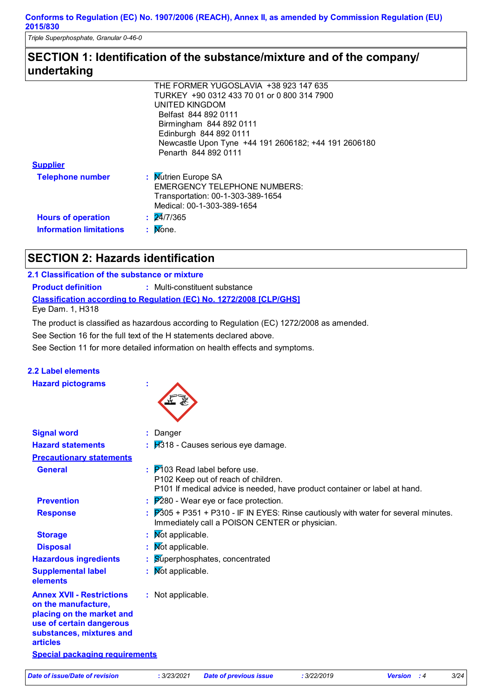*Triple Superphosphate, Granular 0-46-0*

## **SECTION 1: Identification of the substance/mixture and of the company/ undertaking**

|                                | THE FORMER YUGOSLAVIA +38 923 147 635                |
|--------------------------------|------------------------------------------------------|
|                                | TURKEY +90 0312 433 70 01 or 0 800 314 7900          |
|                                | UNITED KINGDOM                                       |
|                                | Belfast 844 892 0111                                 |
|                                | Birmingham 844 892 0111                              |
|                                | Edinburgh 844 892 0111                               |
|                                | Newcastle Upon Tyne +44 191 2606182; +44 191 2606180 |
|                                | Penarth 844 892 0111                                 |
| <b>Supplier</b>                |                                                      |
| <b>Telephone number</b>        | : Mutrien Europe SA                                  |
|                                | <b>EMERGENCY TELEPHONE NUMBERS:</b>                  |
|                                | Transportation: 00-1-303-389-1654                    |
|                                | Medical: 00-1-303-389-1654                           |
| <b>Hours of operation</b>      | : 24/7/365                                           |
|                                |                                                      |
| <b>Information limitations</b> | $:$ Mone.                                            |
|                                |                                                      |

# **SECTION 2: Hazards identification**

### **2.1 Classification of the substance or mixture**

**Classification according to Regulation (EC) No. 1272/2008 [CLP/GHS] Product definition :** Multi-constituent substance Eye Dam. 1, H318

The product is classified as hazardous according to Regulation (EC) 1272/2008 as amended.

See Section 16 for the full text of the H statements declared above.

See Section 11 for more detailed information on health effects and symptoms.

### **2.2 Label elements**

**Hazard pictograms :**



| <b>Signal word</b>                                                                                                                                              | : Danger                                                                                                                                                                    |
|-----------------------------------------------------------------------------------------------------------------------------------------------------------------|-----------------------------------------------------------------------------------------------------------------------------------------------------------------------------|
| <b>Hazard statements</b>                                                                                                                                        | $\frac{1}{2}$ $\frac{1}{2}$ 18 - Causes serious eye damage.                                                                                                                 |
| <b>Precautionary statements</b>                                                                                                                                 |                                                                                                                                                                             |
| <b>General</b>                                                                                                                                                  | $\therefore$ $\overline{P}$ 103 Read label before use.<br>P102 Keep out of reach of children.<br>P101 If medical advice is needed, have product container or label at hand. |
| <b>Prevention</b>                                                                                                                                               | $\frac{1}{2}$ $\mathbb{P}280$ - Wear eye or face protection.                                                                                                                |
| <b>Response</b>                                                                                                                                                 | $\frac{1}{2}$ $\overline{P}305$ + P351 + P310 - IF IN EYES: Rinse cautiously with water for several minutes.<br>Immediately call a POISON CENTER or physician.              |
| <b>Storage</b>                                                                                                                                                  | : Mot applicable.                                                                                                                                                           |
| <b>Disposal</b>                                                                                                                                                 | : Mot applicable.                                                                                                                                                           |
| <b>Hazardous ingredients</b>                                                                                                                                    | : Superphosphates, concentrated                                                                                                                                             |
| <b>Supplemental label</b><br>elements                                                                                                                           | : Mot applicable.                                                                                                                                                           |
| <b>Annex XVII - Restrictions</b><br>on the manufacture,<br>placing on the market and<br>use of certain dangerous<br>substances, mixtures and<br><b>articles</b> | : Not applicable.                                                                                                                                                           |
| <b>Special packaging requirements</b>                                                                                                                           |                                                                                                                                                                             |
|                                                                                                                                                                 |                                                                                                                                                                             |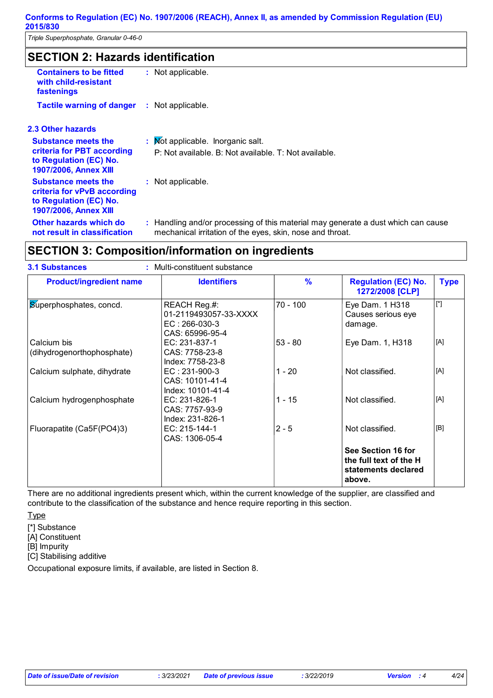*Triple Superphosphate, Granular 0-46-0*

## **SECTION 2: Hazards identification**

| <b>Containers to be fitted</b><br>with child-resistant<br>fastenings                                                | : Not applicable.                                                                                                                              |
|---------------------------------------------------------------------------------------------------------------------|------------------------------------------------------------------------------------------------------------------------------------------------|
| <b>Tactile warning of danger</b>                                                                                    | : Not applicable.                                                                                                                              |
| 2.3 Other hazards                                                                                                   |                                                                                                                                                |
| <b>Substance meets the</b><br>criteria for PBT according<br>to Regulation (EC) No.<br><b>1907/2006, Annex XIII</b>  | : Mot applicable. Inorganic salt.<br>P: Not available. B: Not available. T: Not available.                                                     |
| <b>Substance meets the</b><br>criteria for vPvB according<br>to Regulation (EC) No.<br><b>1907/2006, Annex XIII</b> | : Not applicable.                                                                                                                              |
| Other hazards which do<br>not result in classification                                                              | : Handling and/or processing of this material may generate a dust which can cause<br>mechanical irritation of the eyes, skin, nose and throat. |
|                                                                                                                     |                                                                                                                                                |

# **SECTION 3: Composition/information on ingredients**

| : Multi-constituent substance<br><b>3.1 Substances</b> |                                                                             |               |                                                                               |             |
|--------------------------------------------------------|-----------------------------------------------------------------------------|---------------|-------------------------------------------------------------------------------|-------------|
| <b>Product/ingredient name</b>                         | <b>Identifiers</b>                                                          | $\frac{9}{6}$ | <b>Regulation (EC) No.</b><br>1272/2008 [CLP]                                 | <b>Type</b> |
| Superphosphates, concd.                                | REACH Reg.#:<br>01-2119493057-33-XXXX<br>$EC: 266-030-3$<br>CAS: 65996-95-4 | 70 - 100      | Eye Dam. 1 H318<br>Causes serious eye<br>damage.                              | $[^*]$      |
| Calcium bis<br>(dihydrogenorthophosphate)              | EC: 231-837-1<br>CAS: 7758-23-8<br>Index: 7758-23-8                         | $53 - 80$     | Eye Dam. 1, H318                                                              | [A]         |
| Calcium sulphate, dihydrate                            | EC: 231-900-3<br>CAS: 10101-41-4<br>Index: 10101-41-4                       | $1 - 20$      | Not classified.                                                               | [A]         |
| Calcium hydrogenphosphate                              | EC: 231-826-1<br>CAS: 7757-93-9<br>Index: 231-826-1                         | $1 - 15$      | Not classified.                                                               | [A]         |
| Fluorapatite (Ca5F(PO4)3)                              | EC: 215-144-1<br>CAS: 1306-05-4                                             | $2 - 5$       | Not classified.                                                               | [B]         |
|                                                        |                                                                             |               | See Section 16 for<br>the full text of the H<br>statements declared<br>above. |             |

There are no additional ingredients present which, within the current knowledge of the supplier, are classified and contribute to the classification of the substance and hence require reporting in this section.

**Type** 

[\*] Substance [A] Constituent [B] Impurity [C] Stabilising additive

Occupational exposure limits, if available, are listed in Section 8.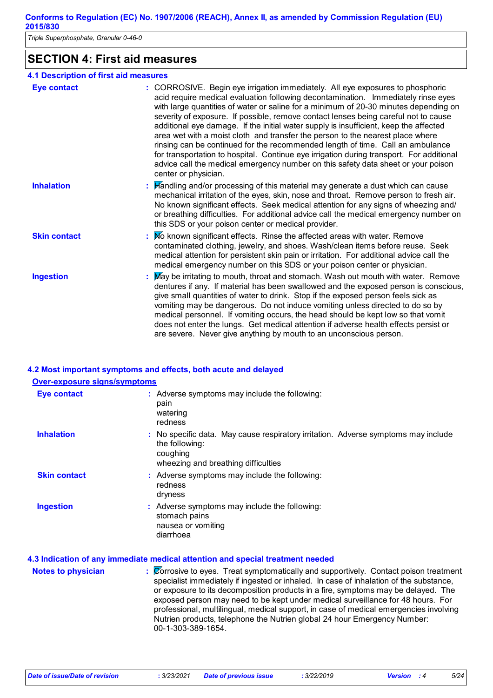*Triple Superphosphate, Granular 0-46-0*

### **SECTION 4: First aid measures**

#### **4.1 Description of first aid measures**

| <b>Eye contact</b>  | : CORROSIVE. Begin eye irrigation immediately. All eye exposures to phosphoric<br>acid require medical evaluation following decontamination. Immediately rinse eyes<br>with large quantities of water or saline for a minimum of 20-30 minutes depending on<br>severity of exposure. If possible, remove contact lenses being careful not to cause<br>additional eye damage. If the initial water supply is insufficient, keep the affected<br>area wet with a moist cloth and transfer the person to the nearest place where<br>rinsing can be continued for the recommended length of time. Call an ambulance<br>for transportation to hospital. Continue eye irrigation during transport. For additional<br>advice call the medical emergency number on this safety data sheet or your poison<br>center or physician. |
|---------------------|--------------------------------------------------------------------------------------------------------------------------------------------------------------------------------------------------------------------------------------------------------------------------------------------------------------------------------------------------------------------------------------------------------------------------------------------------------------------------------------------------------------------------------------------------------------------------------------------------------------------------------------------------------------------------------------------------------------------------------------------------------------------------------------------------------------------------|
| <b>Inhalation</b>   | : Handling and/or processing of this material may generate a dust which can cause<br>mechanical irritation of the eyes, skin, nose and throat. Remove person to fresh air.<br>No known significant effects. Seek medical attention for any signs of wheezing and/<br>or breathing difficulties. For additional advice call the medical emergency number on<br>this SDS or your poison center or medical provider.                                                                                                                                                                                                                                                                                                                                                                                                        |
| <b>Skin contact</b> | : No known significant effects. Rinse the affected areas with water. Remove<br>contaminated clothing, jewelry, and shoes. Wash/clean items before reuse. Seek<br>medical attention for persistent skin pain or irritation. For additional advice call the<br>medical emergency number on this SDS or your poison center or physician.                                                                                                                                                                                                                                                                                                                                                                                                                                                                                    |
| <b>Ingestion</b>    | : May be irritating to mouth, throat and stomach. Wash out mouth with water. Remove<br>dentures if any. If material has been swallowed and the exposed person is conscious,<br>give small quantities of water to drink. Stop if the exposed person feels sick as<br>vomiting may be dangerous. Do not induce vomiting unless directed to do so by<br>medical personnel. If vomiting occurs, the head should be kept low so that vomit<br>does not enter the lungs. Get medical attention if adverse health effects persist or<br>are severe. Never give anything by mouth to an unconscious person.                                                                                                                                                                                                                      |

## **4.2 Most important symptoms and effects, both acute and delayed**

### **Over-exposure signs/symptoms**

| <b>Eye contact</b>  | : Adverse symptoms may include the following:<br>pain<br>watering<br>redness                                                                            |
|---------------------|---------------------------------------------------------------------------------------------------------------------------------------------------------|
| <b>Inhalation</b>   | : No specific data. May cause respiratory irritation. Adverse symptoms may include<br>the following:<br>coughing<br>wheezing and breathing difficulties |
| <b>Skin contact</b> | Adverse symptoms may include the following:<br>redness<br>dryness                                                                                       |
| <b>Ingestion</b>    | : Adverse symptoms may include the following:<br>stomach pains<br>nausea or vomiting<br>diarrhoea                                                       |

#### **4.3 Indication of any immediate medical attention and special treatment needed**

| <b>Notes to physician</b> | : Corrosive to eyes. Treat symptomatically and supportively. Contact poison treatment<br>specialist immediately if ingested or inhaled. In case of inhalation of the substance,<br>or exposure to its decomposition products in a fire, symptoms may be delayed. The<br>exposed person may need to be kept under medical surveillance for 48 hours. For<br>professional, multilingual, medical support, in case of medical emergencies involving<br>Nutrien products, telephone the Nutrien global 24 hour Emergency Number:<br>00-1-303-389-1654. |
|---------------------------|----------------------------------------------------------------------------------------------------------------------------------------------------------------------------------------------------------------------------------------------------------------------------------------------------------------------------------------------------------------------------------------------------------------------------------------------------------------------------------------------------------------------------------------------------|
|                           |                                                                                                                                                                                                                                                                                                                                                                                                                                                                                                                                                    |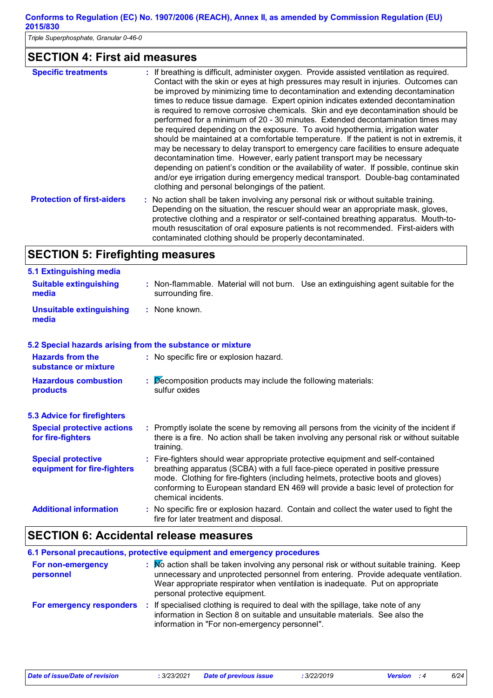*Triple Superphosphate, Granular 0-46-0*

# **SECTION 4: First aid measures**

| <b>Specific treatments</b>        | : If breathing is difficult, administer oxygen. Provide assisted ventilation as required.<br>Contact with the skin or eyes at high pressures may result in injuries. Outcomes can<br>be improved by minimizing time to decontamination and extending decontamination<br>times to reduce tissue damage. Expert opinion indicates extended decontamination<br>is required to remove corrosive chemicals. Skin and eye decontamination should be<br>performed for a minimum of 20 - 30 minutes. Extended decontamination times may<br>be required depending on the exposure. To avoid hypothermia, irrigation water<br>should be maintained at a comfortable temperature. If the patient is not in extremis, it<br>may be necessary to delay transport to emergency care facilities to ensure adequate<br>decontamination time. However, early patient transport may be necessary<br>depending on patient's condition or the availability of water. If possible, continue skin<br>and/or eye irrigation during emergency medical transport. Double-bag contaminated<br>clothing and personal belongings of the patient. |
|-----------------------------------|----------------------------------------------------------------------------------------------------------------------------------------------------------------------------------------------------------------------------------------------------------------------------------------------------------------------------------------------------------------------------------------------------------------------------------------------------------------------------------------------------------------------------------------------------------------------------------------------------------------------------------------------------------------------------------------------------------------------------------------------------------------------------------------------------------------------------------------------------------------------------------------------------------------------------------------------------------------------------------------------------------------------------------------------------------------------------------------------------------------------|
| <b>Protection of first-aiders</b> | : No action shall be taken involving any personal risk or without suitable training.<br>Depending on the situation, the rescuer should wear an appropriate mask, gloves,<br>protective clothing and a respirator or self-contained breathing apparatus. Mouth-to-<br>mouth resuscitation of oral exposure patients is not recommended. First-aiders with<br>contaminated clothing should be properly decontaminated.                                                                                                                                                                                                                                                                                                                                                                                                                                                                                                                                                                                                                                                                                                 |

# **SECTION 5: Firefighting measures**

| 5.1 Extinguishing media                                   |                                                                                                                                                                                                                                                                                                                                                                     |
|-----------------------------------------------------------|---------------------------------------------------------------------------------------------------------------------------------------------------------------------------------------------------------------------------------------------------------------------------------------------------------------------------------------------------------------------|
| <b>Suitable extinguishing</b><br>media                    | : Non-flammable. Material will not burn. Use an extinguishing agent suitable for the<br>surrounding fire.                                                                                                                                                                                                                                                           |
| <b>Unsuitable extinguishing</b><br>media                  | : None known.                                                                                                                                                                                                                                                                                                                                                       |
| 5.2 Special hazards arising from the substance or mixture |                                                                                                                                                                                                                                                                                                                                                                     |
| <b>Hazards from the</b><br>substance or mixture           | : No specific fire or explosion hazard.                                                                                                                                                                                                                                                                                                                             |
| <b>Hazardous combustion</b><br>products                   | Decomposition products may include the following materials:<br>sulfur oxides                                                                                                                                                                                                                                                                                        |
| <b>5.3 Advice for firefighters</b>                        |                                                                                                                                                                                                                                                                                                                                                                     |
| <b>Special protective actions</b><br>for fire-fighters    | : Promptly isolate the scene by removing all persons from the vicinity of the incident if<br>there is a fire. No action shall be taken involving any personal risk or without suitable<br>training.                                                                                                                                                                 |
| <b>Special protective</b><br>equipment for fire-fighters  | Fire-fighters should wear appropriate protective equipment and self-contained<br>breathing apparatus (SCBA) with a full face-piece operated in positive pressure<br>mode. Clothing for fire-fighters (including helmets, protective boots and gloves)<br>conforming to European standard EN 469 will provide a basic level of protection for<br>chemical incidents. |
| <b>Additional information</b>                             | No specific fire or explosion hazard. Contain and collect the water used to fight the<br>fire for later treatment and disposal.                                                                                                                                                                                                                                     |

# **SECTION 6: Accidental release measures**

|                                 | 6.1 Personal precautions, protective equipment and emergency procedures                                                                                                                                                                                                                           |
|---------------------------------|---------------------------------------------------------------------------------------------------------------------------------------------------------------------------------------------------------------------------------------------------------------------------------------------------|
| For non-emergency<br>personnel  | Mo action shall be taken involving any personal risk or without suitable training. Keep<br>unnecessary and unprotected personnel from entering. Provide adequate ventilation.<br>Wear appropriate respirator when ventilation is inadequate. Put on appropriate<br>personal protective equipment. |
| <b>For emergency responders</b> | If specialised clothing is required to deal with the spillage, take note of any<br>information in Section 8 on suitable and unsuitable materials. See also the<br>information in "For non-emergency personnel".                                                                                   |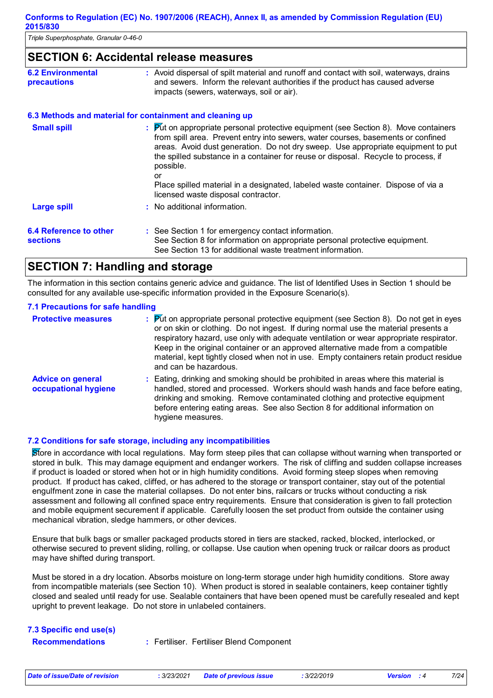*Triple Superphosphate, Granular 0-46-0*

### **SECTION 6: Accidental release measures**

| <b>6.2 Environmental</b> | : Avoid dispersal of spilt material and runoff and contact with soil, waterways, drains |
|--------------------------|-----------------------------------------------------------------------------------------|
| <b>precautions</b>       | and sewers. Inform the relevant authorities if the product has caused adverse           |
|                          | impacts (sewers, waterways, soil or air).                                               |

#### **6.3 Methods and material for containment and cleaning up**

| <b>Small spill</b>                        | : Put on appropriate personal protective equipment (see Section 8). Move containers<br>from spill area. Prevent entry into sewers, water courses, basements or confined<br>areas. Avoid dust generation. Do not dry sweep. Use appropriate equipment to put<br>the spilled substance in a container for reuse or disposal. Recycle to process, if<br>possible. |
|-------------------------------------------|----------------------------------------------------------------------------------------------------------------------------------------------------------------------------------------------------------------------------------------------------------------------------------------------------------------------------------------------------------------|
|                                           | or<br>Place spilled material in a designated, labeled waste container. Dispose of via a<br>licensed waste disposal contractor.                                                                                                                                                                                                                                 |
| <b>Large spill</b>                        | : No additional information.                                                                                                                                                                                                                                                                                                                                   |
| 6.4 Reference to other<br><b>sections</b> | : See Section 1 for emergency contact information.<br>See Section 8 for information on appropriate personal protective equipment.<br>See Section 13 for additional waste treatment information.                                                                                                                                                                |

### **SECTION 7: Handling and storage**

The information in this section contains generic advice and guidance. The list of Identified Uses in Section 1 should be consulted for any available use-specific information provided in the Exposure Scenario(s).

#### **7.1 Precautions for safe handling**

| <b>Protective measures</b>                       | : Put on appropriate personal protective equipment (see Section 8). Do not get in eyes<br>or on skin or clothing. Do not ingest. If during normal use the material presents a<br>respiratory hazard, use only with adequate ventilation or wear appropriate respirator.<br>Keep in the original container or an approved alternative made from a compatible<br>material, kept tightly closed when not in use. Empty containers retain product residue<br>and can be hazardous. |
|--------------------------------------------------|--------------------------------------------------------------------------------------------------------------------------------------------------------------------------------------------------------------------------------------------------------------------------------------------------------------------------------------------------------------------------------------------------------------------------------------------------------------------------------|
| <b>Advice on general</b><br>occupational hygiene | : Eating, drinking and smoking should be prohibited in areas where this material is<br>handled, stored and processed. Workers should wash hands and face before eating,<br>drinking and smoking. Remove contaminated clothing and protective equipment<br>before entering eating areas. See also Section 8 for additional information on<br>hygiene measures.                                                                                                                  |

#### **7.2 Conditions for safe storage, including any incompatibilities**

Store in accordance with local regulations. May form steep piles that can collapse without warning when transported or stored in bulk. This may damage equipment and endanger workers. The risk of cliffing and sudden collapse increases if product is loaded or stored when hot or in high humidity conditions. Avoid forming steep slopes when removing product. If product has caked, cliffed, or has adhered to the storage or transport container, stay out of the potential engulfment zone in case the material collapses. Do not enter bins, railcars or trucks without conducting a risk assessment and following all confined space entry requirements. Ensure that consideration is given to fall protection and mobile equipment securement if applicable. Carefully loosen the set product from outside the container using mechanical vibration, sledge hammers, or other devices.

Ensure that bulk bags or smaller packaged products stored in tiers are stacked, racked, blocked, interlocked, or otherwise secured to prevent sliding, rolling, or collapse. Use caution when opening truck or railcar doors as product may have shifted during transport.

Must be stored in a dry location. Absorbs moisture on long-term storage under high humidity conditions. Store away from incompatible materials (see Section 10). When product is stored in sealable containers, keep container tightly closed and sealed until ready for use. Sealable containers that have been opened must be carefully resealed and kept upright to prevent leakage. Do not store in unlabeled containers.

| 7.3 Specific end use(s) |  |                                          |
|-------------------------|--|------------------------------------------|
| <b>Recommendations</b>  |  | : Fertiliser. Fertiliser Blend Component |

| Date of issue/Date of revision<br>: 3/23/202 |  |
|----------------------------------------------|--|
|----------------------------------------------|--|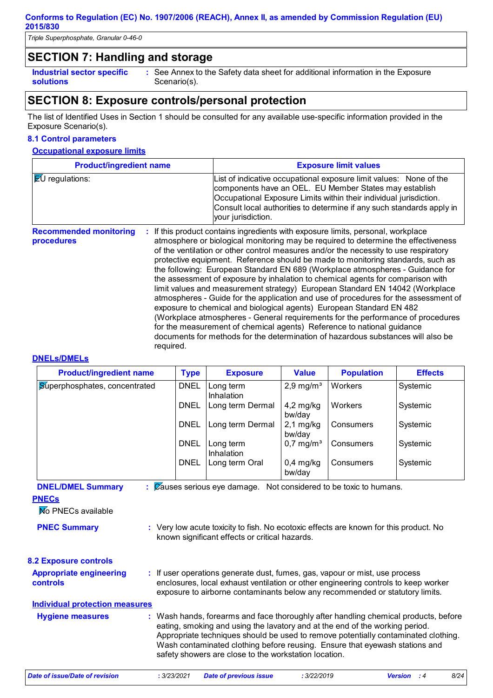*Triple Superphosphate, Granular 0-46-0*

### **SECTION 7: Handling and storage**

**Industrial sector specific : solutions**

See Annex to the Safety data sheet for additional information in the Exposure Scenario(s).

### **SECTION 8: Exposure controls/personal protection**

The list of Identified Uses in Section 1 should be consulted for any available use-specific information provided in the Exposure Scenario(s).

#### **8.1 Control parameters**

#### **Occupational exposure limits**

| <b>Product/ingredient name</b>              |           | <b>Exposure limit values</b>                                                                                                                                                                                                                                                                                                                                                                                                                                                                                                                                                                                                                                                                                                                                                                                                                                                                                                                                                                                          |
|---------------------------------------------|-----------|-----------------------------------------------------------------------------------------------------------------------------------------------------------------------------------------------------------------------------------------------------------------------------------------------------------------------------------------------------------------------------------------------------------------------------------------------------------------------------------------------------------------------------------------------------------------------------------------------------------------------------------------------------------------------------------------------------------------------------------------------------------------------------------------------------------------------------------------------------------------------------------------------------------------------------------------------------------------------------------------------------------------------|
| $E$ U regulations:                          |           | List of indicative occupational exposure limit values: None of the<br>components have an OEL. EU Member States may establish<br>Occupational Exposure Limits within their individual jurisdiction.<br>Consult local authorities to determine if any such standards apply in<br>your jurisdiction.                                                                                                                                                                                                                                                                                                                                                                                                                                                                                                                                                                                                                                                                                                                     |
| <b>Recommended monitoring</b><br>procedures | required. | : If this product contains ingredients with exposure limits, personal, workplace<br>atmosphere or biological monitoring may be required to determine the effectiveness<br>of the ventilation or other control measures and/or the necessity to use respiratory<br>protective equipment. Reference should be made to monitoring standards, such as<br>the following: European Standard EN 689 (Workplace atmospheres - Guidance for<br>the assessment of exposure by inhalation to chemical agents for comparison with<br>limit values and measurement strategy) European Standard EN 14042 (Workplace<br>atmospheres - Guide for the application and use of procedures for the assessment of<br>exposure to chemical and biological agents) European Standard EN 482<br>(Workplace atmospheres - General requirements for the performance of procedures<br>for the measurement of chemical agents) Reference to national guidance<br>documents for methods for the determination of hazardous substances will also be |

#### **DNELs/DMELs**

| <b>Product/ingredient name</b>       | <b>Type</b> | <b>Exposure</b>         | <b>Value</b>            | <b>Population</b> | <b>Effects</b> |
|--------------------------------------|-------------|-------------------------|-------------------------|-------------------|----------------|
| <b>Superphosphates, concentrated</b> | <b>DNEL</b> | Long term<br>Inhalation | $2,9$ mg/m <sup>3</sup> | Workers           | Systemic       |
|                                      | <b>DNEL</b> | Long term Dermal        | $4,2$ mg/kg<br>bw/day   | Workers           | Systemic       |
|                                      | <b>DNEL</b> | Long term Dermal        | $2,1$ mg/kg<br>bw/day   | Consumers         | Systemic       |
|                                      | <b>DNEL</b> | Long term<br>Inhalation | $0.7 \,\mathrm{mg/m^3}$ | Consumers         | Systemic       |
|                                      | <b>DNEL</b> | Long term Oral          | $0,4$ mg/kg<br>bw/day   | Consumers         | Systemic       |

**DNEL/DMEL Summary :** Causes serious eye damage. Not considered to be toxic to humans.

#### **PNECs**

**No PNECs available** 

| <b>PNEC Summary</b> | Very low acute toxicity to fish. No ecotoxic effects are known for this product. No |
|---------------------|-------------------------------------------------------------------------------------|
|                     | known significant effects or critical hazards.                                      |

## **8.2 Exposure controls**

| <b>Appropriate engineering</b><br><b>controls</b> | : If user operations generate dust, fumes, gas, vapour or mist, use process<br>enclosures, local exhaust ventilation or other engineering controls to keep worker<br>exposure to airborne contaminants below any recommended or statutory limits.         |
|---------------------------------------------------|-----------------------------------------------------------------------------------------------------------------------------------------------------------------------------------------------------------------------------------------------------------|
| Individual protection measures                    |                                                                                                                                                                                                                                                           |
| <b>Hygiene measures</b>                           | : Wash hands, forearms and face thoroughly after handling chemical products, before<br>eating, smoking and using the lavatory and at the end of the working period.<br>Appropriate techniques should be used to remove potentially contaminated clothing. |

safety showers are close to the workstation location. *Date of issue/Date of revision* **:** *3/23/2021 Date of previous issue : 3/22/2019 Version : 4 8/24*

Wash contaminated clothing before reusing. Ensure that eyewash stations and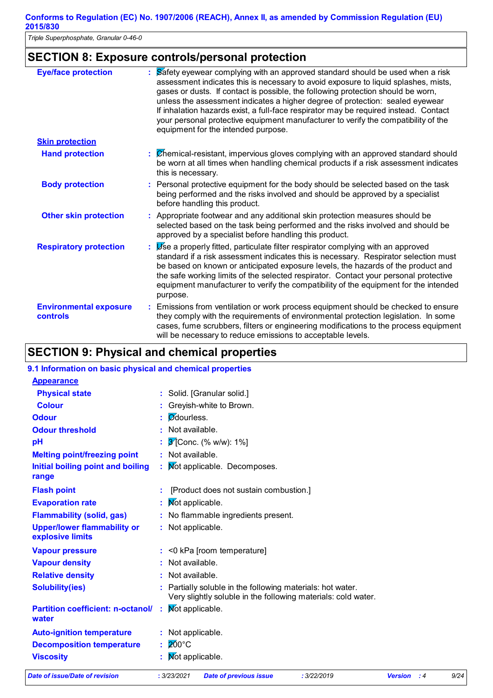*Triple Superphosphate, Granular 0-46-0*

# **SECTION 8: Exposure controls/personal protection**

| <b>Eye/face protection</b>                       | Safety eyewear complying with an approved standard should be used when a risk<br>assessment indicates this is necessary to avoid exposure to liquid splashes, mists,<br>gases or dusts. If contact is possible, the following protection should be worn,<br>unless the assessment indicates a higher degree of protection: sealed eyewear<br>If inhalation hazards exist, a full-face respirator may be required instead. Contact<br>your personal protective equipment manufacturer to verify the compatibility of the<br>equipment for the intended purpose. |
|--------------------------------------------------|----------------------------------------------------------------------------------------------------------------------------------------------------------------------------------------------------------------------------------------------------------------------------------------------------------------------------------------------------------------------------------------------------------------------------------------------------------------------------------------------------------------------------------------------------------------|
| <b>Skin protection</b>                           |                                                                                                                                                                                                                                                                                                                                                                                                                                                                                                                                                                |
| <b>Hand protection</b>                           | : Chemical-resistant, impervious gloves complying with an approved standard should<br>be worn at all times when handling chemical products if a risk assessment indicates<br>this is necessary.                                                                                                                                                                                                                                                                                                                                                                |
| <b>Body protection</b>                           | : Personal protective equipment for the body should be selected based on the task<br>being performed and the risks involved and should be approved by a specialist<br>before handling this product.                                                                                                                                                                                                                                                                                                                                                            |
| <b>Other skin protection</b>                     | : Appropriate footwear and any additional skin protection measures should be<br>selected based on the task being performed and the risks involved and should be<br>approved by a specialist before handling this product.                                                                                                                                                                                                                                                                                                                                      |
| <b>Respiratory protection</b>                    | Use a properly fitted, particulate filter respirator complying with an approved<br>standard if a risk assessment indicates this is necessary. Respirator selection must<br>be based on known or anticipated exposure levels, the hazards of the product and<br>the safe working limits of the selected respirator. Contact your personal protective<br>equipment manufacturer to verify the compatibility of the equipment for the intended<br>purpose.                                                                                                        |
| <b>Environmental exposure</b><br><b>controls</b> | : Emissions from ventilation or work process equipment should be checked to ensure<br>they comply with the requirements of environmental protection legislation. In some<br>cases, fume scrubbers, filters or engineering modifications to the process equipment<br>will be necessary to reduce emissions to acceptable levels.                                                                                                                                                                                                                                |

# **SECTION 9: Physical and chemical properties**

| Date of issue/Date of revision                            | : 3/23/2021<br><b>Date of previous issue</b><br>: 3/22/2019                                                               | <b>Version</b> | :4 | 9/24 |
|-----------------------------------------------------------|---------------------------------------------------------------------------------------------------------------------------|----------------|----|------|
| <b>Viscosity</b>                                          | Mot applicable.                                                                                                           |                |    |      |
| <b>Decomposition temperature</b>                          | $200^{\circ}$ C                                                                                                           |                |    |      |
| <b>Auto-ignition temperature</b>                          | : Not applicable.                                                                                                         |                |    |      |
| <b>Partition coefficient: n-octanol/</b><br>water         | Mot applicable.                                                                                                           |                |    |      |
| <b>Solubility(ies)</b>                                    | Partially soluble in the following materials: hot water.<br>Very slightly soluble in the following materials: cold water. |                |    |      |
| <b>Relative density</b>                                   | Not available.                                                                                                            |                |    |      |
| <b>Vapour density</b>                                     | : Not available.                                                                                                          |                |    |      |
| <b>Vapour pressure</b>                                    | $:$ <0 kPa [room temperature]                                                                                             |                |    |      |
| <b>Upper/lower flammability or</b><br>explosive limits    | : Not applicable.                                                                                                         |                |    |      |
| <b>Flammability (solid, gas)</b>                          | : No flammable ingredients present.                                                                                       |                |    |      |
| <b>Evaporation rate</b>                                   | Not applicable.                                                                                                           |                |    |      |
| <b>Flash point</b>                                        | [Product does not sustain combustion.]                                                                                    |                |    |      |
| Initial boiling point and boiling<br>range                | Mot applicable. Decomposes.                                                                                               |                |    |      |
| <b>Melting point/freezing point</b>                       | : Not available.                                                                                                          |                |    |      |
| pH                                                        | $3$ [Conc. (% w/w): 1%]                                                                                                   |                |    |      |
| <b>Odour threshold</b>                                    | Not available.                                                                                                            |                |    |      |
| <b>Odour</b>                                              | <b>O</b> dourless.                                                                                                        |                |    |      |
| <b>Colour</b>                                             | Greyish-white to Brown.                                                                                                   |                |    |      |
| <b>Physical state</b>                                     | : Solid. [Granular solid.]                                                                                                |                |    |      |
| <b>Appearance</b>                                         |                                                                                                                           |                |    |      |
| 9.1 Information on basic physical and chemical properties |                                                                                                                           |                |    |      |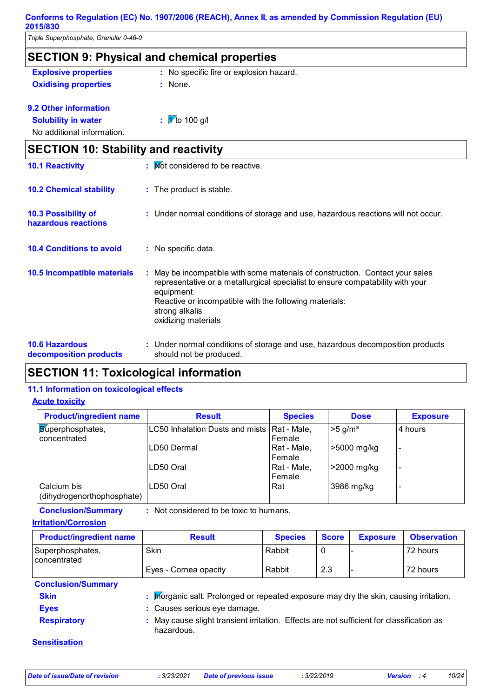*Triple Superphosphate, Granular 0-46-0*

|                                                   | <b>SECTION 9: Physical and chemical properties</b>                                                                                                                                                                                                                             |
|---------------------------------------------------|--------------------------------------------------------------------------------------------------------------------------------------------------------------------------------------------------------------------------------------------------------------------------------|
| <b>Explosive properties</b>                       | : No specific fire or explosion hazard.                                                                                                                                                                                                                                        |
| <b>Oxidising properties</b>                       | : None.                                                                                                                                                                                                                                                                        |
| 9.2 Other information                             |                                                                                                                                                                                                                                                                                |
| <b>Solubility in water</b>                        | : $\sqrt{\frac{1}{10}}$ to 100 g/l                                                                                                                                                                                                                                             |
| No additional information.                        |                                                                                                                                                                                                                                                                                |
| <b>SECTION 10: Stability and reactivity</b>       |                                                                                                                                                                                                                                                                                |
| <b>10.1 Reactivity</b>                            | : Mot considered to be reactive.                                                                                                                                                                                                                                               |
| <b>10.2 Chemical stability</b>                    | : The product is stable.                                                                                                                                                                                                                                                       |
| <b>10.3 Possibility of</b><br>hazardous reactions | : Under normal conditions of storage and use, hazardous reactions will not occur.                                                                                                                                                                                              |
| <b>10.4 Conditions to avoid</b>                   | No specific data.                                                                                                                                                                                                                                                              |
| 10.5 Incompatible materials                       | May be incompatible with some materials of construction. Contact your sales<br>representative or a metallurgical specialist to ensure compatability with your<br>equipment.<br>Reactive or incompatible with the following materials:<br>strong alkalis<br>oxidizing materials |
| <b>10.6 Hazardous</b><br>decomposition products   | Under normal conditions of storage and use, hazardous decomposition products<br>should not be produced.                                                                                                                                                                        |

# **SECTION 11: Toxicological information**

### **11.1 Information on toxicological effects**

#### **Acute toxicity**

| <b>Product/ingredient name</b>            | <b>Result</b>                   | <b>Species</b>        | <b>Dose</b>           | <b>Exposure</b> |
|-------------------------------------------|---------------------------------|-----------------------|-----------------------|-----------------|
| <b>Superphosphates,</b><br>concentrated   | LC50 Inhalation Dusts and mists | Rat - Male,<br>Female | $>5$ g/m <sup>3</sup> | 4 hours         |
|                                           | LD50 Dermal                     | Rat - Male,<br>Female | ⊩>5000 mg/kg          |                 |
|                                           | ILD50 Oral                      | Rat - Male,<br>Female | 2000 mg/kg            | -               |
| Calcium bis<br>(dihydrogenorthophosphate) | LD50 Oral                       | Rat                   | 3986 mg/kg            |                 |

**Conclusion/Summary :** Not considered to be toxic to humans.

**Irritation/Corrosion**

| <b>Product/ingredient name</b>   | <b>Result</b>                                                                                         | <b>Species</b> | <b>Score</b> | <b>Exposure</b> | <b>Observation</b> |
|----------------------------------|-------------------------------------------------------------------------------------------------------|----------------|--------------|-----------------|--------------------|
| Superphosphates,<br>concentrated | Skin                                                                                                  | Rabbit         | 0            |                 | 72 hours           |
|                                  | Eyes - Cornea opacity                                                                                 | Rabbit         | 2.3          |                 | 72 hours           |
| <b>Conclusion/Summary</b>        |                                                                                                       |                |              |                 |                    |
| <b>Skin</b>                      | : prorganic salt. Prolonged or repeated exposure may dry the skin, causing irritation.                |                |              |                 |                    |
| <b>Eyes</b>                      | : Causes serious eye damage.                                                                          |                |              |                 |                    |
| <b>Respiratory</b>               | May cause slight transient irritation. Effects are not sufficient for classification as<br>hazardous. |                |              |                 |                    |
| <b>Sensitisation</b>             |                                                                                                       |                |              |                 |                    |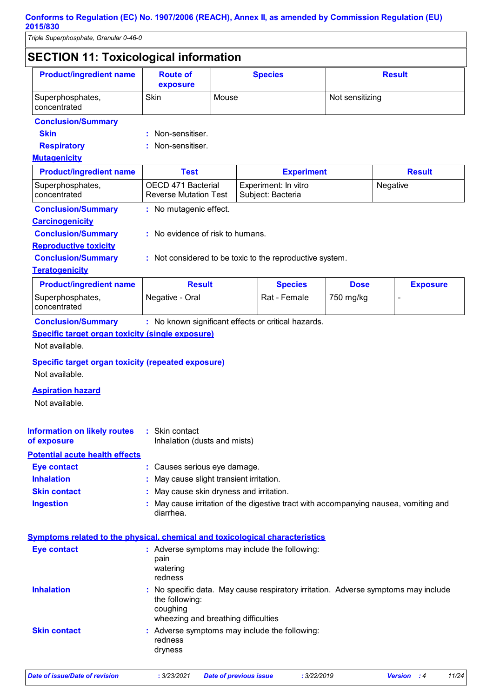*Triple Superphosphate, Granular 0-46-0*

| <b>SECTION 11: Toxicological information</b>                                                                                                                                                    |                                                                              |                                                                                                 |  |                                                                                    |             |  |                 |
|-------------------------------------------------------------------------------------------------------------------------------------------------------------------------------------------------|------------------------------------------------------------------------------|-------------------------------------------------------------------------------------------------|--|------------------------------------------------------------------------------------|-------------|--|-----------------|
| <b>Product/ingredient name</b>                                                                                                                                                                  | <b>Route of</b><br><b>Species</b><br>exposure                                |                                                                                                 |  | <b>Result</b>                                                                      |             |  |                 |
| Superphosphates,<br>concentrated                                                                                                                                                                | <b>Skin</b><br>Mouse                                                         |                                                                                                 |  | Not sensitizing                                                                    |             |  |                 |
| <b>Conclusion/Summary</b>                                                                                                                                                                       |                                                                              |                                                                                                 |  |                                                                                    |             |  |                 |
| <b>Skin</b>                                                                                                                                                                                     | Non-sensitiser.                                                              |                                                                                                 |  |                                                                                    |             |  |                 |
| <b>Respiratory</b>                                                                                                                                                                              | Non-sensitiser.                                                              |                                                                                                 |  |                                                                                    |             |  |                 |
| <b>Mutagenicity</b>                                                                                                                                                                             |                                                                              |                                                                                                 |  |                                                                                    |             |  |                 |
| <b>Product/ingredient name</b>                                                                                                                                                                  | <b>Test</b>                                                                  |                                                                                                 |  | <b>Experiment</b>                                                                  |             |  | <b>Result</b>   |
| Superphosphates,<br>concentrated                                                                                                                                                                |                                                                              | OECD 471 Bacterial<br>Experiment: In vitro<br><b>Reverse Mutation Test</b><br>Subject: Bacteria |  |                                                                                    | Negative    |  |                 |
| <b>Conclusion/Summary</b>                                                                                                                                                                       | : No mutagenic effect.                                                       |                                                                                                 |  |                                                                                    |             |  |                 |
| <b>Carcinogenicity</b>                                                                                                                                                                          |                                                                              |                                                                                                 |  |                                                                                    |             |  |                 |
| <b>Conclusion/Summary</b>                                                                                                                                                                       | : No evidence of risk to humans.                                             |                                                                                                 |  |                                                                                    |             |  |                 |
| <b>Reproductive toxicity</b>                                                                                                                                                                    |                                                                              |                                                                                                 |  |                                                                                    |             |  |                 |
| <b>Conclusion/Summary</b>                                                                                                                                                                       | : Not considered to be toxic to the reproductive system.                     |                                                                                                 |  |                                                                                    |             |  |                 |
| <b>Teratogenicity</b>                                                                                                                                                                           |                                                                              |                                                                                                 |  |                                                                                    |             |  |                 |
| <b>Product/ingredient name</b>                                                                                                                                                                  | <b>Result</b>                                                                |                                                                                                 |  | <b>Species</b>                                                                     | <b>Dose</b> |  | <b>Exposure</b> |
| Superphosphates,<br>concentrated                                                                                                                                                                | Negative - Oral                                                              |                                                                                                 |  | Rat - Female                                                                       | 750 mg/kg   |  | $\overline{a}$  |
| Specific target organ toxicity (single exposure)<br>Not available.<br><b>Specific target organ toxicity (repeated exposure)</b><br>Not available.<br><b>Aspiration hazard</b><br>Not available. |                                                                              |                                                                                                 |  |                                                                                    |             |  |                 |
|                                                                                                                                                                                                 |                                                                              |                                                                                                 |  |                                                                                    |             |  |                 |
| <b>Information on likely routes</b><br>of exposure                                                                                                                                              | : Skin contact<br>Inhalation (dusts and mists)                               |                                                                                                 |  |                                                                                    |             |  |                 |
| <b>Potential acute health effects</b>                                                                                                                                                           |                                                                              |                                                                                                 |  |                                                                                    |             |  |                 |
| <b>Eye contact</b>                                                                                                                                                                              | : Causes serious eye damage.                                                 |                                                                                                 |  |                                                                                    |             |  |                 |
| <b>Inhalation</b>                                                                                                                                                                               | May cause slight transient irritation.                                       |                                                                                                 |  |                                                                                    |             |  |                 |
| <b>Skin contact</b>                                                                                                                                                                             | May cause skin dryness and irritation.                                       |                                                                                                 |  |                                                                                    |             |  |                 |
| <b>Ingestion</b>                                                                                                                                                                                | diarrhea.                                                                    |                                                                                                 |  | May cause irritation of the digestive tract with accompanying nausea, vomiting and |             |  |                 |
| <b>Symptoms related to the physical, chemical and toxicological characteristics</b>                                                                                                             |                                                                              |                                                                                                 |  |                                                                                    |             |  |                 |
| <b>Eye contact</b>                                                                                                                                                                              | : Adverse symptoms may include the following:<br>pain<br>watering<br>redness |                                                                                                 |  |                                                                                    |             |  |                 |
| <b>Inhalation</b>                                                                                                                                                                               | the following:<br>coughing                                                   |                                                                                                 |  | No specific data. May cause respiratory irritation. Adverse symptoms may include   |             |  |                 |

wheezing and breathing difficulties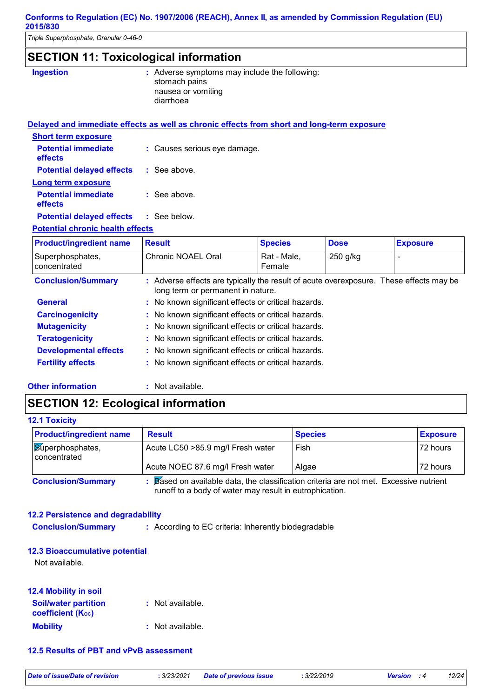*Triple Superphosphate, Granular 0-46-0*

# **SECTION 11: Toxicological information**

| <b>Ingestion</b> | : Adverse symptoms may include the following:<br>stomach pains<br>nausea or vomiting<br>diarrhoea |
|------------------|---------------------------------------------------------------------------------------------------|
|                  |                                                                                                   |

|                                               | Delayed and immediate effects as well as chronic effects from short and long-term exposure |
|-----------------------------------------------|--------------------------------------------------------------------------------------------|
| <b>Short term exposure</b>                    |                                                                                            |
| <b>Potential immediate</b><br><b>effects</b>  | : Causes serious eye damage.                                                               |
| <b>Potential delayed effects</b>              | : See above.                                                                               |
| Long term exposure                            |                                                                                            |
| <b>Potential immediate</b><br>effects         | $\therefore$ See above.                                                                    |
| <b>Potential delayed effects : See below.</b> |                                                                                            |
| Detential ebsenia bealth effects              |                                                                                            |

#### **Potential chronic health effects**

| <b>Product/ingredient name</b>   | <b>Result</b>                                                                                                               | <b>Species</b>        | <b>Dose</b> | <b>Exposure</b> |
|----------------------------------|-----------------------------------------------------------------------------------------------------------------------------|-----------------------|-------------|-----------------|
| Superphosphates,<br>concentrated | Chronic NOAEL Oral                                                                                                          | Rat - Male.<br>Female | 250 g/kg    |                 |
| <b>Conclusion/Summary</b>        | : Adverse effects are typically the result of acute overexposure. These effects may be<br>long term or permanent in nature. |                       |             |                 |
| <b>General</b>                   | : No known significant effects or critical hazards.                                                                         |                       |             |                 |
| <b>Carcinogenicity</b>           | : No known significant effects or critical hazards.                                                                         |                       |             |                 |
| <b>Mutagenicity</b>              | : No known significant effects or critical hazards.                                                                         |                       |             |                 |
| <b>Teratogenicity</b>            | : No known significant effects or critical hazards.                                                                         |                       |             |                 |
| <b>Developmental effects</b>     | : No known significant effects or critical hazards.                                                                         |                       |             |                 |
| <b>Fertility effects</b>         | : No known significant effects or critical hazards.                                                                         |                       |             |                 |

#### **Other information :**

: Not available.

## **SECTION 12: Ecological information**

| <b>12.1 Toxicity</b>               |                                                                                      |                |                 |
|------------------------------------|--------------------------------------------------------------------------------------|----------------|-----------------|
| <b>Product/ingredient name</b>     | <b>Result</b>                                                                        | <b>Species</b> | <b>Exposure</b> |
| Superphosphates,<br>l concentrated | Acute LC50 > 85.9 mg/l Fresh water                                                   | Fish           | 72 hours        |
|                                    | Acute NOEC 87.6 mg/l Fresh water                                                     | Algae          | 72 hours        |
| <b>Conclusion/Summary</b>          | Based on available data, the classification criteria are not met. Excessive nutrient |                |                 |

runoff to a body of water may result in eutrophication.

### **12.2 Persistence and degradability**

**Conclusion/Summary :** According to EC criteria: Inherently biodegradable

### **12.3 Bioaccumulative potential**

Not available.

| <b>12.4 Mobility in soil</b>                            |                  |
|---------------------------------------------------------|------------------|
| <b>Soil/water partition</b><br><b>coefficient (Koc)</b> | : Not available. |
| <b>Mobility</b>                                         | : Not available. |

#### **12.5 Results of PBT and vPvB assessment**

*Date of issue/Date of revision* **:** *3/23/2021 Date of previous issue : 3/22/2019 Version : 4 12/24*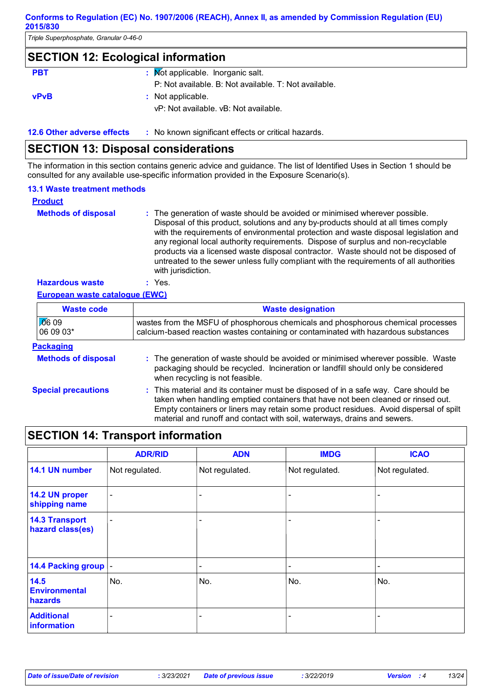*Triple Superphosphate, Granular 0-46-0*

### **SECTION 12: Ecological information**

| <b>PBT</b>  | : Mot applicable. Inorganic salt.                     |
|-------------|-------------------------------------------------------|
|             | P: Not available. B: Not available. T: Not available. |
| <b>vPvB</b> | : Not applicable.                                     |
|             | vP: Not available, vB: Not available.                 |
|             |                                                       |

**12.6 Other adverse effects** : No known significant effects or critical hazards.

## **SECTION 13: Disposal considerations**

The information in this section contains generic advice and guidance. The list of Identified Uses in Section 1 should be consulted for any available use-specific information provided in the Exposure Scenario(s).

#### **13.1 Waste treatment methods**

| <b>Product</b>             |                                                                                                                                                                                                                                                                                                                                                                                                                                                                                                                                                     |
|----------------------------|-----------------------------------------------------------------------------------------------------------------------------------------------------------------------------------------------------------------------------------------------------------------------------------------------------------------------------------------------------------------------------------------------------------------------------------------------------------------------------------------------------------------------------------------------------|
| <b>Methods of disposal</b> | : The generation of waste should be avoided or minimised wherever possible.<br>Disposal of this product, solutions and any by-products should at all times comply<br>with the requirements of environmental protection and waste disposal legislation and<br>any regional local authority requirements. Dispose of surplus and non-recyclable<br>products via a licensed waste disposal contractor. Waste should not be disposed of<br>untreated to the sewer unless fully compliant with the requirements of all authorities<br>with jurisdiction. |
| <b>Hazardous waste</b>     | Yes.                                                                                                                                                                                                                                                                                                                                                                                                                                                                                                                                                |

#### **European waste catalogue (EWC)**

| <b>Waste code</b>          | <b>Waste designation</b>                                                                                                                                                                                                                                                                                                                     |
|----------------------------|----------------------------------------------------------------------------------------------------------------------------------------------------------------------------------------------------------------------------------------------------------------------------------------------------------------------------------------------|
| $\sqrt{0}609$<br>06 09 03* | wastes from the MSFU of phosphorous chemicals and phosphorous chemical processes<br>calcium-based reaction wastes containing or contaminated with hazardous substances                                                                                                                                                                       |
| <b>Packaging</b>           |                                                                                                                                                                                                                                                                                                                                              |
| <b>Methods of disposal</b> | : The generation of waste should be avoided or minimised wherever possible. Waste<br>packaging should be recycled. Incineration or landfill should only be considered<br>when recycling is not feasible.                                                                                                                                     |
| <b>Special precautions</b> | : This material and its container must be disposed of in a safe way. Care should be<br>taken when handling emptied containers that have not been cleaned or rinsed out.<br>Empty containers or liners may retain some product residues. Avoid dispersal of spilt<br>material and runoff and contact with soil, waterways, drains and sewers. |

# **SECTION 14: Transport information**

|                                           | <b>ADR/RID</b>           | <b>ADN</b>               | <b>IMDG</b>    | <b>ICAO</b>    |
|-------------------------------------------|--------------------------|--------------------------|----------------|----------------|
| 14.1 UN number                            | Not regulated.           | Not regulated.           | Not regulated. | Not regulated. |
| 14.2 UN proper<br>shipping name           | $\overline{\phantom{a}}$ | ۰                        |                |                |
| <b>14.3 Transport</b><br>hazard class(es) | $\blacksquare$           |                          |                |                |
| 14.4 Packing group  -                     |                          | $\overline{\phantom{a}}$ |                |                |
| 14.5<br><b>Environmental</b><br>hazards   | No.                      | No.                      | No.            | No.            |
| <b>Additional</b><br>information          |                          | ۰                        |                |                |

*Date of issue/Date of revision* **:** *3/23/2021 Date of previous issue : 3/22/2019 Version : 4 13/24*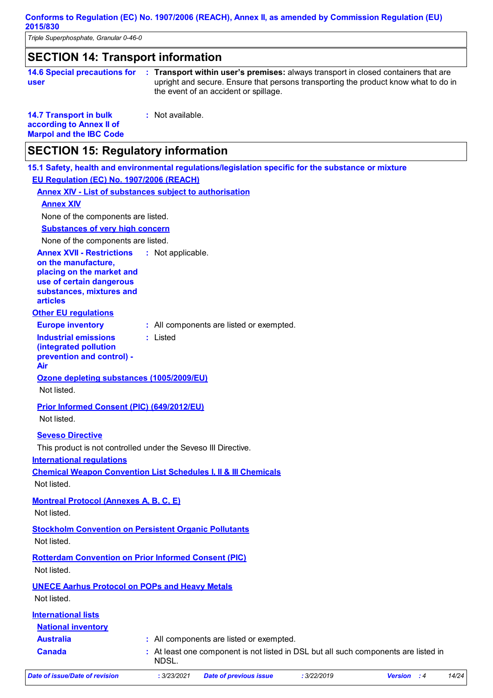*Triple Superphosphate, Granular 0-46-0*

| <b>SECTION 14: Transport information</b>                                                    |                                                                                                                                                                                                                    |
|---------------------------------------------------------------------------------------------|--------------------------------------------------------------------------------------------------------------------------------------------------------------------------------------------------------------------|
| <b>14.6 Special precautions for</b><br>user                                                 | : Transport within user's premises: always transport in closed containers that are<br>upright and secure. Ensure that persons transporting the product know what to do in<br>the event of an accident or spillage. |
| <b>14.7 Transport in bulk</b><br>according to Annex II of<br><b>Marpol and the IBC Code</b> | : Not available.                                                                                                                                                                                                   |
| <b>SECTION 15: Regulatory information</b>                                                   |                                                                                                                                                                                                                    |
|                                                                                             | 15.1 Safety, health and environmental regulations/legislation specific for the substance or mixture                                                                                                                |
| EU Regulation (EC) No. 1907/2006 (REACH)                                                    |                                                                                                                                                                                                                    |
|                                                                                             | <b>Annex XIV - List of substances subject to authorisation</b>                                                                                                                                                     |
| <b>Annex XIV</b>                                                                            |                                                                                                                                                                                                                    |
| None of the components are listed.                                                          |                                                                                                                                                                                                                    |
| <b>Substances of very high concern</b>                                                      |                                                                                                                                                                                                                    |
| None of the components are listed.                                                          |                                                                                                                                                                                                                    |
| <b>Annex XVII - Restrictions</b><br>on the manufacture,                                     | : Not applicable.                                                                                                                                                                                                  |
| placing on the market and                                                                   |                                                                                                                                                                                                                    |
| use of certain dangerous                                                                    |                                                                                                                                                                                                                    |
| substances, mixtures and<br><b>articles</b>                                                 |                                                                                                                                                                                                                    |
| <b>Other EU regulations</b>                                                                 |                                                                                                                                                                                                                    |
| <b>Europe inventory</b>                                                                     | : All components are listed or exempted.                                                                                                                                                                           |
| <b>Industrial emissions</b>                                                                 | : Listed                                                                                                                                                                                                           |
| (integrated pollution                                                                       |                                                                                                                                                                                                                    |
| prevention and control) -<br>Air                                                            |                                                                                                                                                                                                                    |
| Ozone depleting substances (1005/2009/EU)                                                   |                                                                                                                                                                                                                    |
| Not listed.                                                                                 |                                                                                                                                                                                                                    |
| <b>Prior Informed Consent (PIC) (649/2012/EU)</b>                                           |                                                                                                                                                                                                                    |
| Not listed.                                                                                 |                                                                                                                                                                                                                    |
|                                                                                             |                                                                                                                                                                                                                    |
| <b>Seveso Directive</b>                                                                     | This product is not controlled under the Seveso III Directive.                                                                                                                                                     |
| <b>International requlations</b>                                                            |                                                                                                                                                                                                                    |
|                                                                                             | <b>Chemical Weapon Convention List Schedules I, II &amp; III Chemicals</b>                                                                                                                                         |
| Not listed.                                                                                 |                                                                                                                                                                                                                    |
| <b>Montreal Protocol (Annexes A, B, C, E)</b>                                               |                                                                                                                                                                                                                    |
| Not listed.                                                                                 |                                                                                                                                                                                                                    |
|                                                                                             |                                                                                                                                                                                                                    |
|                                                                                             | <b>Stockholm Convention on Persistent Organic Pollutants</b>                                                                                                                                                       |
| Not listed.                                                                                 |                                                                                                                                                                                                                    |
| <b>Rotterdam Convention on Prior Informed Consent (PIC)</b>                                 |                                                                                                                                                                                                                    |
| Not listed.                                                                                 |                                                                                                                                                                                                                    |
| <b>UNECE Aarhus Protocol on POPs and Heavy Metals</b>                                       |                                                                                                                                                                                                                    |
| Not listed.                                                                                 |                                                                                                                                                                                                                    |
| <b>International lists</b>                                                                  |                                                                                                                                                                                                                    |
| <b>National inventory</b>                                                                   |                                                                                                                                                                                                                    |
| <b>Australia</b>                                                                            | : All components are listed or exempted.                                                                                                                                                                           |
| <b>Canada</b>                                                                               | : At least one component is not listed in DSL but all such components are listed in<br>NDSL.                                                                                                                       |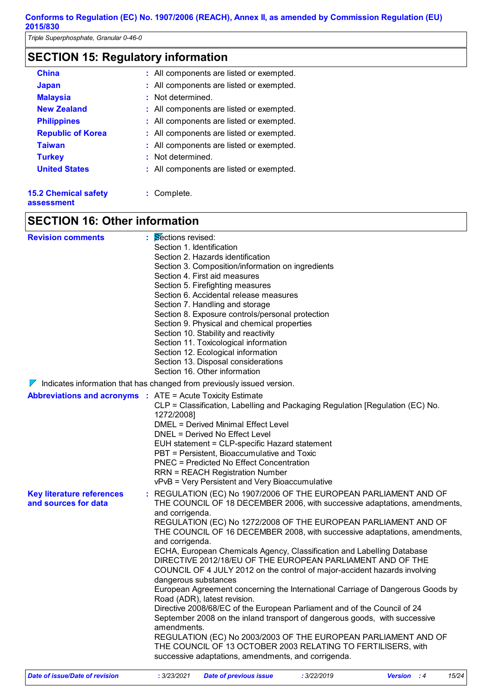*Triple Superphosphate, Granular 0-46-0*

# **SECTION 15: Regulatory information**

| <b>China</b>                | : All components are listed or exempted. |
|-----------------------------|------------------------------------------|
| <b>Japan</b>                | : All components are listed or exempted. |
| <b>Malaysia</b>             | : Not determined.                        |
| <b>New Zealand</b>          | : All components are listed or exempted. |
| <b>Philippines</b>          | : All components are listed or exempted. |
| <b>Republic of Korea</b>    | : All components are listed or exempted. |
| <b>Taiwan</b>               | : All components are listed or exempted. |
| <b>Turkey</b>               | : Not determined.                        |
| <b>United States</b>        | : All components are listed or exempted. |
| <b>15.2 Chemical safety</b> | : Complete.                              |

**assessment**

## **SECTION 16: Other information**

| <b>Revision comments</b>                                                        | : Sections revised:<br>Section 1. Identification |                                                                                                                                      |             |                                                                                |
|---------------------------------------------------------------------------------|--------------------------------------------------|--------------------------------------------------------------------------------------------------------------------------------------|-------------|--------------------------------------------------------------------------------|
|                                                                                 |                                                  | Section 2. Hazards identification                                                                                                    |             |                                                                                |
|                                                                                 |                                                  | Section 3. Composition/information on ingredients                                                                                    |             |                                                                                |
|                                                                                 |                                                  | Section 4. First aid measures                                                                                                        |             |                                                                                |
|                                                                                 |                                                  | Section 5. Firefighting measures                                                                                                     |             |                                                                                |
|                                                                                 |                                                  | Section 6. Accidental release measures                                                                                               |             |                                                                                |
|                                                                                 |                                                  | Section 7. Handling and storage                                                                                                      |             |                                                                                |
|                                                                                 |                                                  | Section 8. Exposure controls/personal protection                                                                                     |             |                                                                                |
|                                                                                 |                                                  | Section 9. Physical and chemical properties                                                                                          |             |                                                                                |
|                                                                                 |                                                  | Section 10. Stability and reactivity                                                                                                 |             |                                                                                |
|                                                                                 |                                                  | Section 11. Toxicological information                                                                                                |             |                                                                                |
|                                                                                 |                                                  | Section 12. Ecological information                                                                                                   |             |                                                                                |
|                                                                                 |                                                  | Section 13. Disposal considerations                                                                                                  |             |                                                                                |
|                                                                                 |                                                  | Section 16. Other information                                                                                                        |             |                                                                                |
| $\nabla$ Indicates information that has changed from previously issued version. |                                                  |                                                                                                                                      |             |                                                                                |
| <b>Abbreviations and acronyms : ATE = Acute Toxicity Estimate</b>               |                                                  |                                                                                                                                      |             |                                                                                |
|                                                                                 |                                                  | CLP = Classification, Labelling and Packaging Regulation [Regulation (EC) No.                                                        |             |                                                                                |
|                                                                                 | 1272/2008]                                       | <b>DMEL = Derived Minimal Effect Level</b>                                                                                           |             |                                                                                |
|                                                                                 |                                                  | DNEL = Derived No Effect Level                                                                                                       |             |                                                                                |
|                                                                                 |                                                  | EUH statement = CLP-specific Hazard statement                                                                                        |             |                                                                                |
|                                                                                 |                                                  | PBT = Persistent, Bioaccumulative and Toxic                                                                                          |             |                                                                                |
|                                                                                 |                                                  | <b>PNEC = Predicted No Effect Concentration</b>                                                                                      |             |                                                                                |
|                                                                                 |                                                  | <b>RRN = REACH Registration Number</b>                                                                                               |             |                                                                                |
|                                                                                 |                                                  | vPvB = Very Persistent and Very Bioaccumulative                                                                                      |             |                                                                                |
| <b>Key literature references</b>                                                |                                                  |                                                                                                                                      |             | : REGULATION (EC) No 1907/2006 OF THE EUROPEAN PARLIAMENT AND OF               |
| and sources for data                                                            |                                                  |                                                                                                                                      |             | THE COUNCIL OF 18 DECEMBER 2006, with successive adaptations, amendments,      |
|                                                                                 | and corrigenda.                                  |                                                                                                                                      |             |                                                                                |
|                                                                                 |                                                  |                                                                                                                                      |             | REGULATION (EC) No 1272/2008 OF THE EUROPEAN PARLIAMENT AND OF                 |
|                                                                                 |                                                  |                                                                                                                                      |             | THE COUNCIL OF 16 DECEMBER 2008, with successive adaptations, amendments,      |
|                                                                                 | and corrigenda.                                  |                                                                                                                                      |             |                                                                                |
|                                                                                 |                                                  | ECHA, European Chemicals Agency, Classification and Labelling Database<br>DIRECTIVE 2012/18/EU OF THE EUROPEAN PARLIAMENT AND OF THE |             |                                                                                |
|                                                                                 |                                                  | COUNCIL OF 4 JULY 2012 on the control of major-accident hazards involving                                                            |             |                                                                                |
|                                                                                 | dangerous substances                             |                                                                                                                                      |             |                                                                                |
|                                                                                 |                                                  |                                                                                                                                      |             | European Agreement concerning the International Carriage of Dangerous Goods by |
|                                                                                 |                                                  | Road (ADR), latest revision.                                                                                                         |             |                                                                                |
|                                                                                 |                                                  | Directive 2008/68/EC of the European Parliament and of the Council of 24                                                             |             |                                                                                |
|                                                                                 |                                                  | September 2008 on the inland transport of dangerous goods, with successive                                                           |             |                                                                                |
|                                                                                 | amendments.                                      |                                                                                                                                      |             |                                                                                |
|                                                                                 |                                                  |                                                                                                                                      |             | REGULATION (EC) No 2003/2003 OF THE EUROPEAN PARLIAMENT AND OF                 |
|                                                                                 |                                                  | THE COUNCIL OF 13 OCTOBER 2003 RELATING TO FERTILISERS, with                                                                         |             |                                                                                |
|                                                                                 |                                                  | successive adaptations, amendments, and corrigenda.                                                                                  |             |                                                                                |
| <b>Date of issue/Date of revision</b>                                           | : 3/23/2021                                      | <b>Date of previous issue</b>                                                                                                        | : 3/22/2019 | 15/24<br>Version : 4                                                           |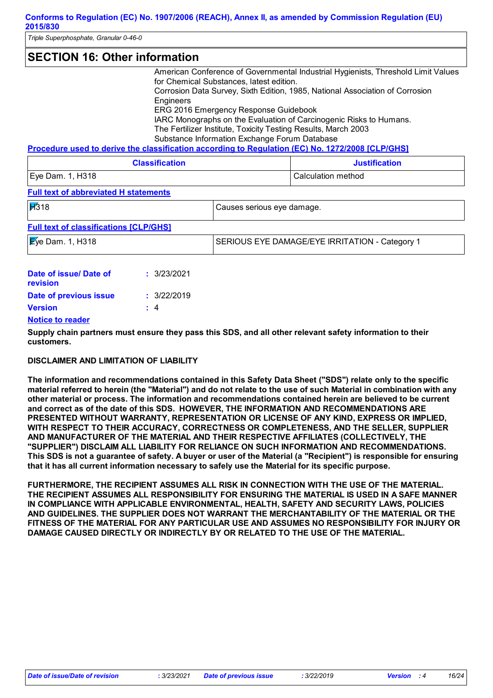*Triple Superphosphate, Granular 0-46-0*

### **SECTION 16: Other information**

American Conference of Governmental Industrial Hygienists, Threshold Limit Values for Chemical Substances, latest edition.

Corrosion Data Survey, Sixth Edition, 1985, National Association of Corrosion **Engineers** 

ERG 2016 Emergency Response Guidebook

IARC Monographs on the Evaluation of Carcinogenic Risks to Humans. The Fertilizer Institute, Toxicity Testing Results, March 2003

Substance Information Exchange Forum Database

**Procedure used to derive the classification according to Regulation (EC) No. 1272/2008 [CLP/GHS]**

| <b>Classification</b> | <b>Justification</b> |
|-----------------------|----------------------|
| Eye Dam. 1, H318      | Calculation method   |

#### **Full text of abbreviated H statements**

| H318                                          | Causes serious eye damage.                     |
|-----------------------------------------------|------------------------------------------------|
| <b>Full text of classifications [CLP/GHS]</b> |                                                |
| $\mathbb{E}$ ye Dam. 1, H318                  | SERIOUS EYE DAMAGE/EYE IRRITATION - Category 1 |
|                                               |                                                |

| Date of issue/ Date of<br>revision | : 3/23/2021 |
|------------------------------------|-------------|
| Date of previous issue             | : 3/22/2019 |
| Version                            | $\pm$ 4     |
| <b>Notice to reader</b>            |             |

**Supply chain partners must ensure they pass this SDS, and all other relevant safety information to their customers.**

### **DISCLAIMER AND LIMITATION OF LIABILITY**

**The information and recommendations contained in this Safety Data Sheet ("SDS") relate only to the specific material referred to herein (the "Material") and do not relate to the use of such Material in combination with any other material or process. The information and recommendations contained herein are believed to be current and correct as of the date of this SDS. HOWEVER, THE INFORMATION AND RECOMMENDATIONS ARE PRESENTED WITHOUT WARRANTY, REPRESENTATION OR LICENSE OF ANY KIND, EXPRESS OR IMPLIED, WITH RESPECT TO THEIR ACCURACY, CORRECTNESS OR COMPLETENESS, AND THE SELLER, SUPPLIER AND MANUFACTURER OF THE MATERIAL AND THEIR RESPECTIVE AFFILIATES (COLLECTIVELY, THE "SUPPLIER") DISCLAIM ALL LIABILITY FOR RELIANCE ON SUCH INFORMATION AND RECOMMENDATIONS. This SDS is not a guarantee of safety. A buyer or user of the Material (a "Recipient") is responsible for ensuring that it has all current information necessary to safely use the Material for its specific purpose.**

**FURTHERMORE, THE RECIPIENT ASSUMES ALL RISK IN CONNECTION WITH THE USE OF THE MATERIAL. THE RECIPIENT ASSUMES ALL RESPONSIBILITY FOR ENSURING THE MATERIAL IS USED IN A SAFE MANNER IN COMPLIANCE WITH APPLICABLE ENVIRONMENTAL, HEALTH, SAFETY AND SECURITY LAWS, POLICIES AND GUIDELINES. THE SUPPLIER DOES NOT WARRANT THE MERCHANTABILITY OF THE MATERIAL OR THE FITNESS OF THE MATERIAL FOR ANY PARTICULAR USE AND ASSUMES NO RESPONSIBILITY FOR INJURY OR DAMAGE CAUSED DIRECTLY OR INDIRECTLY BY OR RELATED TO THE USE OF THE MATERIAL.**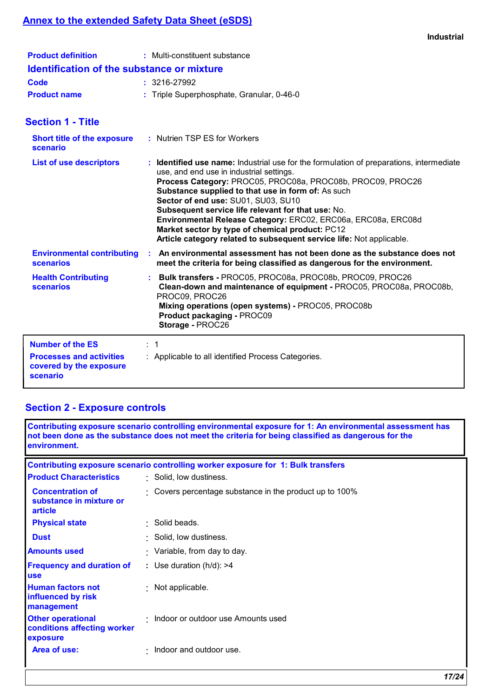# **Annex to the extended Safety Data Sheet (eSDS)**

| <b>Product definition</b>                         | : Multi-constituent substance             |
|---------------------------------------------------|-------------------------------------------|
| <b>Identification of the substance or mixture</b> |                                           |
| Code                                              | : 3216-27992                              |
| <b>Product name</b>                               | : Triple Superphosphate, Granular, 0-46-0 |

# **Section 1 - Title**

| <b>Short title of the exposure</b><br>scenario                         |                | : Nutrien TSP ES for Workers                                                                                                                                                                                                                                                                                                                                                                                                                                                                                                                     |
|------------------------------------------------------------------------|----------------|--------------------------------------------------------------------------------------------------------------------------------------------------------------------------------------------------------------------------------------------------------------------------------------------------------------------------------------------------------------------------------------------------------------------------------------------------------------------------------------------------------------------------------------------------|
| <b>List of use descriptors</b>                                         |                | : Identified use name: Industrial use for the formulation of preparations, intermediate<br>use, and end use in industrial settings.<br>Process Category: PROC05, PROC08a, PROC08b, PROC09, PROC26<br>Substance supplied to that use in form of: As such<br>Sector of end use: SU01, SU03, SU10<br>Subsequent service life relevant for that use: No.<br>Environmental Release Category: ERC02, ERC06a, ERC08a, ERC08d<br>Market sector by type of chemical product: PC12<br>Article category related to subsequent service life: Not applicable. |
| <b>Environmental contributing</b><br><b>scenarios</b>                  |                | An environmental assessment has not been done as the substance does not<br>meet the criteria for being classified as dangerous for the environment.                                                                                                                                                                                                                                                                                                                                                                                              |
| <b>Health Contributing</b><br><b>scenarios</b>                         |                | : Bulk transfers - PROC05, PROC08a, PROC08b, PROC09, PROC26<br>Clean-down and maintenance of equipment - PROC05, PROC08a, PROC08b,<br>PROC09, PROC26<br>Mixing operations (open systems) - PROC05, PROC08b<br>Product packaging - PROC09<br>Storage - PROC26                                                                                                                                                                                                                                                                                     |
| <b>Number of the ES</b>                                                | $\therefore$ 1 |                                                                                                                                                                                                                                                                                                                                                                                                                                                                                                                                                  |
| <b>Processes and activities</b><br>covered by the exposure<br>scenario |                | : Applicable to all identified Process Categories.                                                                                                                                                                                                                                                                                                                                                                                                                                                                                               |

# **Section 2 - Exposure controls**

| environment.                                                        | Contributing exposure scenario controlling environmental exposure for 1: An environmental assessment has<br>not been done as the substance does not meet the criteria for being classified as dangerous for the |
|---------------------------------------------------------------------|-----------------------------------------------------------------------------------------------------------------------------------------------------------------------------------------------------------------|
|                                                                     | Contributing exposure scenario controlling worker exposure for 1: Bulk transfers                                                                                                                                |
| <b>Product Characteristics</b>                                      | · Solid, low dustiness.                                                                                                                                                                                         |
| <b>Concentration of</b><br>substance in mixture or<br>article       | Covers percentage substance in the product up to 100%                                                                                                                                                           |
| <b>Physical state</b>                                               | · Solid beads.                                                                                                                                                                                                  |
| <b>Dust</b>                                                         | Solid, low dustiness.                                                                                                                                                                                           |
| <b>Amounts used</b>                                                 | : Variable, from day to day.                                                                                                                                                                                    |
| <b>Frequency and duration of</b><br><b>use</b>                      | : Use duration $(h/d)$ : >4                                                                                                                                                                                     |
| <b>Human factors not</b><br>influenced by risk<br>management        | Not applicable.                                                                                                                                                                                                 |
| <b>Other operational</b><br>conditions affecting worker<br>exposure | Indoor or outdoor use Amounts used                                                                                                                                                                              |
| Area of use:                                                        | Indoor and outdoor use.                                                                                                                                                                                         |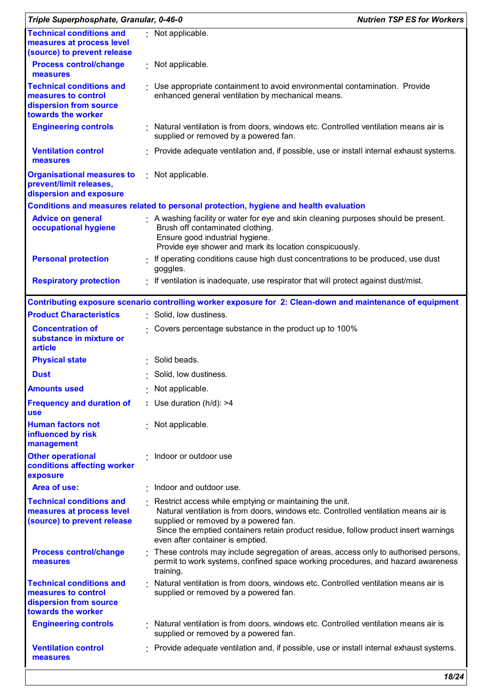| Triple Superphosphate, Granular, 0-46-0                                                                |                                                                                                                                                                                                                                                                                                                    | <b>Nutrien TSP ES for Workers</b> |
|--------------------------------------------------------------------------------------------------------|--------------------------------------------------------------------------------------------------------------------------------------------------------------------------------------------------------------------------------------------------------------------------------------------------------------------|-----------------------------------|
| <b>Technical conditions and</b><br>measures at process level<br>(source) to prevent release            | Not applicable.                                                                                                                                                                                                                                                                                                    |                                   |
| <b>Process control/change</b><br>measures                                                              | Not applicable.                                                                                                                                                                                                                                                                                                    |                                   |
| <b>Technical conditions and</b><br>measures to control<br>dispersion from source<br>towards the worker | Use appropriate containment to avoid environmental contamination. Provide<br>enhanced general ventilation by mechanical means.                                                                                                                                                                                     |                                   |
| <b>Engineering controls</b>                                                                            | Natural ventilation is from doors, windows etc. Controlled ventilation means air is<br>supplied or removed by a powered fan.                                                                                                                                                                                       |                                   |
| <b>Ventilation control</b><br>measures                                                                 | Provide adequate ventilation and, if possible, use or install internal exhaust systems.                                                                                                                                                                                                                            |                                   |
| <b>Organisational measures to</b><br>prevent/limit releases,<br>dispersion and exposure                | : Not applicable.                                                                                                                                                                                                                                                                                                  |                                   |
|                                                                                                        | Conditions and measures related to personal protection, hygiene and health evaluation                                                                                                                                                                                                                              |                                   |
| <b>Advice on general</b><br>occupational hygiene                                                       | A washing facility or water for eye and skin cleaning purposes should be present.<br>Brush off contaminated clothing.<br>Ensure good industrial hygiene.<br>Provide eye shower and mark its location conspicuously.                                                                                                |                                   |
| <b>Personal protection</b>                                                                             | If operating conditions cause high dust concentrations to be produced, use dust<br>goggles.                                                                                                                                                                                                                        |                                   |
| <b>Respiratory protection</b>                                                                          | If ventilation is inadequate, use respirator that will protect against dust/mist.                                                                                                                                                                                                                                  |                                   |
|                                                                                                        | Contributing exposure scenario controlling worker exposure for 2: Clean-down and maintenance of equipment                                                                                                                                                                                                          |                                   |
| <b>Product Characteristics</b>                                                                         | Solid, low dustiness.                                                                                                                                                                                                                                                                                              |                                   |
| <b>Concentration of</b><br>substance in mixture or<br>article                                          | Covers percentage substance in the product up to 100%                                                                                                                                                                                                                                                              |                                   |
| <b>Physical state</b>                                                                                  | Solid beads.                                                                                                                                                                                                                                                                                                       |                                   |
| Dust                                                                                                   | Solid, low dustiness.                                                                                                                                                                                                                                                                                              |                                   |
| <b>Amounts used</b>                                                                                    | Not applicable.                                                                                                                                                                                                                                                                                                    |                                   |
| <b>Frequency and duration of</b><br><b>use</b>                                                         | : Use duration $(h/d)$ : >4                                                                                                                                                                                                                                                                                        |                                   |
| <b>Human factors not</b><br>influenced by risk<br>management                                           | : Not applicable.                                                                                                                                                                                                                                                                                                  |                                   |
| <b>Other operational</b><br>conditions affecting worker<br>exposure                                    | Indoor or outdoor use                                                                                                                                                                                                                                                                                              |                                   |
| Area of use:                                                                                           | Indoor and outdoor use.                                                                                                                                                                                                                                                                                            |                                   |
| <b>Technical conditions and</b><br>measures at process level<br>(source) to prevent release            | Restrict access while emptying or maintaining the unit.<br>Natural ventilation is from doors, windows etc. Controlled ventilation means air is<br>supplied or removed by a powered fan.<br>Since the emptied containers retain product residue, follow product insert warnings<br>even after container is emptied. |                                   |
| <b>Process control/change</b><br>measures                                                              | These controls may include segregation of areas, access only to authorised persons,<br>permit to work systems, confined space working procedures, and hazard awareness<br>training.                                                                                                                                |                                   |
| <b>Technical conditions and</b><br>measures to control<br>dispersion from source<br>towards the worker | Natural ventilation is from doors, windows etc. Controlled ventilation means air is<br>supplied or removed by a powered fan.                                                                                                                                                                                       |                                   |
| <b>Engineering controls</b>                                                                            | Natural ventilation is from doors, windows etc. Controlled ventilation means air is<br>supplied or removed by a powered fan.                                                                                                                                                                                       |                                   |
| <b>Ventilation control</b><br>measures                                                                 | Provide adequate ventilation and, if possible, use or install internal exhaust systems.                                                                                                                                                                                                                            |                                   |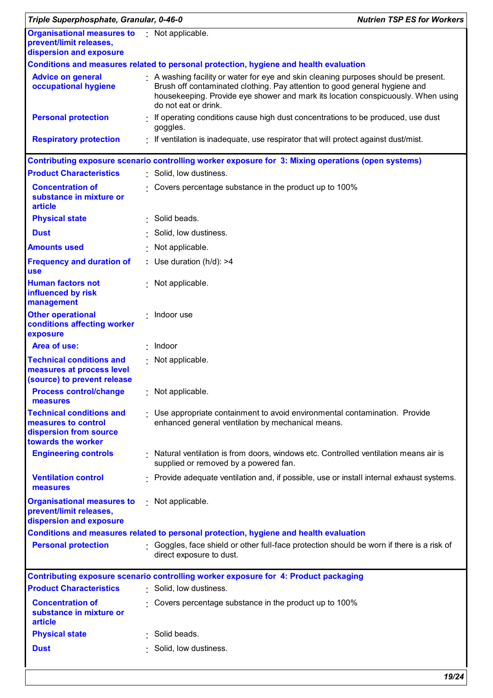| Triple Superphosphate, Granular, 0-46-0                                                                |                                                                                                                                                                                                                                                                             | <b>Nutrien TSP ES for Workers</b> |
|--------------------------------------------------------------------------------------------------------|-----------------------------------------------------------------------------------------------------------------------------------------------------------------------------------------------------------------------------------------------------------------------------|-----------------------------------|
| Organisational measures to Not applicable.<br>prevent/limit releases,<br>dispersion and exposure       |                                                                                                                                                                                                                                                                             |                                   |
|                                                                                                        | Conditions and measures related to personal protection, hygiene and health evaluation                                                                                                                                                                                       |                                   |
| <b>Advice on general</b><br>occupational hygiene                                                       | A washing facility or water for eye and skin cleaning purposes should be present.<br>Brush off contaminated clothing. Pay attention to good general hygiene and<br>housekeeping. Provide eye shower and mark its location conspicuously. When using<br>do not eat or drink. |                                   |
| <b>Personal protection</b>                                                                             | If operating conditions cause high dust concentrations to be produced, use dust<br>goggles.                                                                                                                                                                                 |                                   |
| <b>Respiratory protection</b>                                                                          | . If ventilation is inadequate, use respirator that will protect against dust/mist.                                                                                                                                                                                         |                                   |
|                                                                                                        | Contributing exposure scenario controlling worker exposure for 3: Mixing operations (open systems)                                                                                                                                                                          |                                   |
| <b>Product Characteristics</b>                                                                         | Solid, low dustiness.                                                                                                                                                                                                                                                       |                                   |
| <b>Concentration of</b><br>substance in mixture or<br>article                                          | Covers percentage substance in the product up to 100%                                                                                                                                                                                                                       |                                   |
| <b>Physical state</b>                                                                                  | · Solid beads.                                                                                                                                                                                                                                                              |                                   |
| <b>Dust</b>                                                                                            | Solid, low dustiness.                                                                                                                                                                                                                                                       |                                   |
| <b>Amounts used</b>                                                                                    | Not applicable.                                                                                                                                                                                                                                                             |                                   |
| <b>Frequency and duration of</b><br>use                                                                | : Use duration $(h/d)$ : >4                                                                                                                                                                                                                                                 |                                   |
| <b>Human factors not</b><br>influenced by risk<br>management                                           | Not applicable.                                                                                                                                                                                                                                                             |                                   |
| <b>Other operational</b><br>conditions affecting worker<br>exposure                                    | : Indoor use                                                                                                                                                                                                                                                                |                                   |
| Area of use:                                                                                           | $\cdot$ Indoor                                                                                                                                                                                                                                                              |                                   |
| <b>Technical conditions and</b><br>measures at process level<br>(source) to prevent release            | Not applicable.                                                                                                                                                                                                                                                             |                                   |
| <b>Process control/change</b><br>measures                                                              | Not applicable.                                                                                                                                                                                                                                                             |                                   |
| <b>Technical conditions and</b><br>measures to control<br>dispersion from source<br>towards the worker | Use appropriate containment to avoid environmental contamination. Provide<br>enhanced general ventilation by mechanical means.                                                                                                                                              |                                   |
| <b>Engineering controls</b>                                                                            | Natural ventilation is from doors, windows etc. Controlled ventilation means air is<br>supplied or removed by a powered fan.                                                                                                                                                |                                   |
| <b>Ventilation control</b><br>measures                                                                 | Provide adequate ventilation and, if possible, use or install internal exhaust systems.                                                                                                                                                                                     |                                   |
| <b>Organisational measures to</b><br>prevent/limit releases,<br>dispersion and exposure                | : Not applicable.                                                                                                                                                                                                                                                           |                                   |
|                                                                                                        | Conditions and measures related to personal protection, hygiene and health evaluation                                                                                                                                                                                       |                                   |
| <b>Personal protection</b>                                                                             | Goggles, face shield or other full-face protection should be worn if there is a risk of<br>direct exposure to dust.                                                                                                                                                         |                                   |
|                                                                                                        | Contributing exposure scenario controlling worker exposure for 4: Product packaging                                                                                                                                                                                         |                                   |
| <b>Product Characteristics</b>                                                                         | : Solid, low dustiness.                                                                                                                                                                                                                                                     |                                   |
| <b>Concentration of</b><br>substance in mixture or<br>article                                          | Covers percentage substance in the product up to 100%                                                                                                                                                                                                                       |                                   |
| <b>Physical state</b>                                                                                  | Solid beads.                                                                                                                                                                                                                                                                |                                   |
|                                                                                                        |                                                                                                                                                                                                                                                                             |                                   |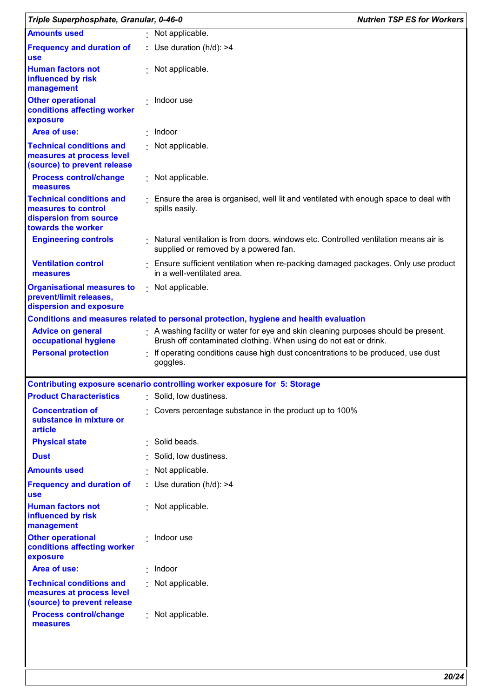|                                                                                                        | Triple Superphosphate, Granular, 0-46-0                                                                                                               | <b>Nutrien TSP ES for Workers</b> |
|--------------------------------------------------------------------------------------------------------|-------------------------------------------------------------------------------------------------------------------------------------------------------|-----------------------------------|
| <b>Amounts used</b>                                                                                    | : Not applicable.                                                                                                                                     |                                   |
| <b>Frequency and duration of</b><br><b>use</b>                                                         | : Use duration $(h/d)$ : >4                                                                                                                           |                                   |
| <b>Human factors not</b><br>influenced by risk<br>management                                           | Not applicable.                                                                                                                                       |                                   |
| <b>Other operational</b><br>conditions affecting worker<br>exposure                                    | Indoor use                                                                                                                                            |                                   |
| Area of use:                                                                                           | Indoor                                                                                                                                                |                                   |
| <b>Technical conditions and</b><br>measures at process level<br>(source) to prevent release            | Not applicable.                                                                                                                                       |                                   |
| <b>Process control/change</b><br>measures                                                              | · Not applicable.                                                                                                                                     |                                   |
| <b>Technical conditions and</b><br>measures to control<br>dispersion from source<br>towards the worker | Ensure the area is organised, well lit and ventilated with enough space to deal with<br>spills easily.                                                |                                   |
| <b>Engineering controls</b>                                                                            | Natural ventilation is from doors, windows etc. Controlled ventilation means air is<br>supplied or removed by a powered fan.                          |                                   |
| <b>Ventilation control</b><br>measures                                                                 | Ensure sufficient ventilation when re-packing damaged packages. Only use product<br>in a well-ventilated area.                                        |                                   |
| <b>Organisational measures to</b><br>prevent/limit releases,<br>dispersion and exposure                | : Not applicable.                                                                                                                                     |                                   |
|                                                                                                        | Conditions and measures related to personal protection, hygiene and health evaluation                                                                 |                                   |
| <b>Advice on general</b><br>occupational hygiene                                                       | A washing facility or water for eye and skin cleaning purposes should be present.<br>Brush off contaminated clothing. When using do not eat or drink. |                                   |
| <b>Personal protection</b>                                                                             | If operating conditions cause high dust concentrations to be produced, use dust<br>goggles.                                                           |                                   |
|                                                                                                        | Contributing exposure scenario controlling worker exposure for 5: Storage                                                                             |                                   |
| <b>Product Characteristics</b>                                                                         | Solid, low dustiness.                                                                                                                                 |                                   |
| <b>Concentration of</b><br>substance in mixture or<br>article                                          | Covers percentage substance in the product up to 100%                                                                                                 |                                   |
| <b>Physical state</b>                                                                                  | · Solid beads.                                                                                                                                        |                                   |
| <b>Dust</b>                                                                                            | Solid, low dustiness.                                                                                                                                 |                                   |
| <b>Amounts used</b>                                                                                    | Not applicable.                                                                                                                                       |                                   |
| <b>Frequency and duration of</b><br><b>use</b>                                                         | : Use duration $(h/d)$ : >4                                                                                                                           |                                   |
| <b>Human factors not</b><br>influenced by risk<br>management                                           | Not applicable.                                                                                                                                       |                                   |
| <b>Other operational</b><br>conditions affecting worker<br>exposure                                    | · Indoor use                                                                                                                                          |                                   |
| Area of use:                                                                                           | Indoor                                                                                                                                                |                                   |
| <b>Technical conditions and</b><br>measures at process level                                           | Not applicable.                                                                                                                                       |                                   |
| (source) to prevent release                                                                            |                                                                                                                                                       |                                   |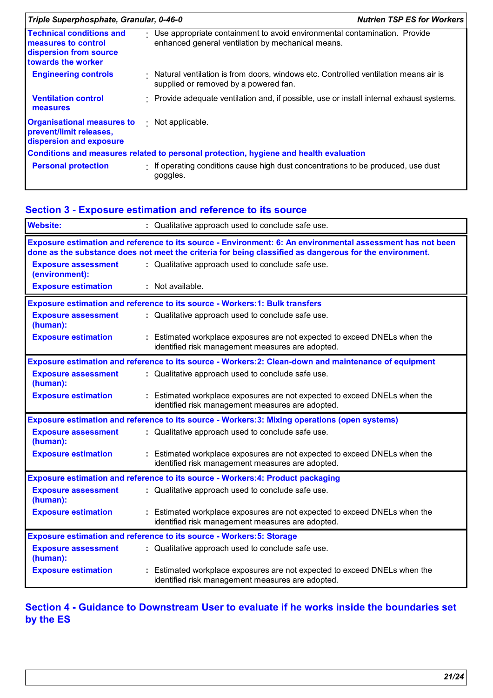| Triple Superphosphate, Granular, 0-46-0                                                                |                                                                                                                                | <b>Nutrien TSP ES for Workers</b> |
|--------------------------------------------------------------------------------------------------------|--------------------------------------------------------------------------------------------------------------------------------|-----------------------------------|
| <b>Technical conditions and</b><br>measures to control<br>dispersion from source<br>towards the worker | Use appropriate containment to avoid environmental contamination. Provide<br>enhanced general ventilation by mechanical means. |                                   |
| <b>Engineering controls</b>                                                                            | Natural ventilation is from doors, windows etc. Controlled ventilation means air is<br>supplied or removed by a powered fan.   |                                   |
| <b>Ventilation control</b><br>measures                                                                 | · Provide adequate ventilation and, if possible, use or install internal exhaust systems.                                      |                                   |
| <b>Organisational measures to</b><br>prevent/limit releases,<br>dispersion and exposure                | Not applicable.                                                                                                                |                                   |
|                                                                                                        | Conditions and measures related to personal protection, hygiene and health evaluation                                          |                                   |
| <b>Personal protection</b>                                                                             | If operating conditions cause high dust concentrations to be produced, use dust<br>goggles.                                    |                                   |

# **Section 3 - Exposure estimation and reference to its source**

| <b>Website:</b>                              | : Qualitative approach used to conclude safe use.                                                                                                                                                                     |
|----------------------------------------------|-----------------------------------------------------------------------------------------------------------------------------------------------------------------------------------------------------------------------|
|                                              | Exposure estimation and reference to its source - Environment: 6: An environmental assessment has not been<br>done as the substance does not meet the criteria for being classified as dangerous for the environment. |
| <b>Exposure assessment</b><br>(environment): | : Qualitative approach used to conclude safe use.                                                                                                                                                                     |
| <b>Exposure estimation</b>                   | : Not available.                                                                                                                                                                                                      |
|                                              | <b>Exposure estimation and reference to its source - Workers:1: Bulk transfers</b>                                                                                                                                    |
| <b>Exposure assessment</b><br>(human):       | : Qualitative approach used to conclude safe use.                                                                                                                                                                     |
| <b>Exposure estimation</b>                   | Estimated workplace exposures are not expected to exceed DNELs when the<br>identified risk management measures are adopted.                                                                                           |
|                                              | Exposure estimation and reference to its source - Workers: 2: Clean-down and maintenance of equipment                                                                                                                 |
| <b>Exposure assessment</b><br>(human):       | : Qualitative approach used to conclude safe use.                                                                                                                                                                     |
| <b>Exposure estimation</b>                   | : Estimated workplace exposures are not expected to exceed DNELs when the<br>identified risk management measures are adopted.                                                                                         |
|                                              | Exposure estimation and reference to its source - Workers:3: Mixing operations (open systems)                                                                                                                         |
| <b>Exposure assessment</b><br>(human):       | : Qualitative approach used to conclude safe use.                                                                                                                                                                     |
| <b>Exposure estimation</b>                   | : Estimated workplace exposures are not expected to exceed DNELs when the<br>identified risk management measures are adopted.                                                                                         |
|                                              | <b>Exposure estimation and reference to its source - Workers:4: Product packaging</b>                                                                                                                                 |
| <b>Exposure assessment</b><br>(human):       | : Qualitative approach used to conclude safe use.                                                                                                                                                                     |
| <b>Exposure estimation</b>                   | : Estimated workplace exposures are not expected to exceed DNELs when the<br>identified risk management measures are adopted.                                                                                         |
|                                              | <b>Exposure estimation and reference to its source - Workers: 5: Storage</b>                                                                                                                                          |
| <b>Exposure assessment</b><br>(human):       | : Qualitative approach used to conclude safe use.                                                                                                                                                                     |
| <b>Exposure estimation</b>                   | : Estimated workplace exposures are not expected to exceed DNELs when the<br>identified risk management measures are adopted.                                                                                         |

## **Section 4 - Guidance to Downstream User to evaluate if he works inside the boundaries set by the ES**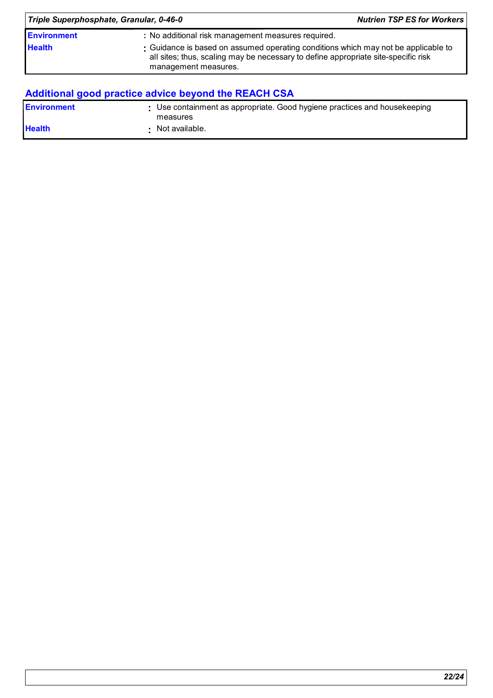| Triple Superphosphate, Granular, 0-46-0 | <b>Nutrien TSP ES for Workers</b>                                                                                                                                                                |  |
|-----------------------------------------|--------------------------------------------------------------------------------------------------------------------------------------------------------------------------------------------------|--|
| <b>Environment</b>                      | : No additional risk management measures required.                                                                                                                                               |  |
| <b>Health</b>                           | : Guidance is based on assumed operating conditions which may not be applicable to<br>all sites; thus, scaling may be necessary to define appropriate site-specific risk<br>management measures. |  |

# **Additional good practice advice beyond the REACH CSA**

| <b>Environment</b> | : Use containment as appropriate. Good hygiene practices and housekeeping<br>measures |
|--------------------|---------------------------------------------------------------------------------------|
| <b>Health</b>      | Not available.                                                                        |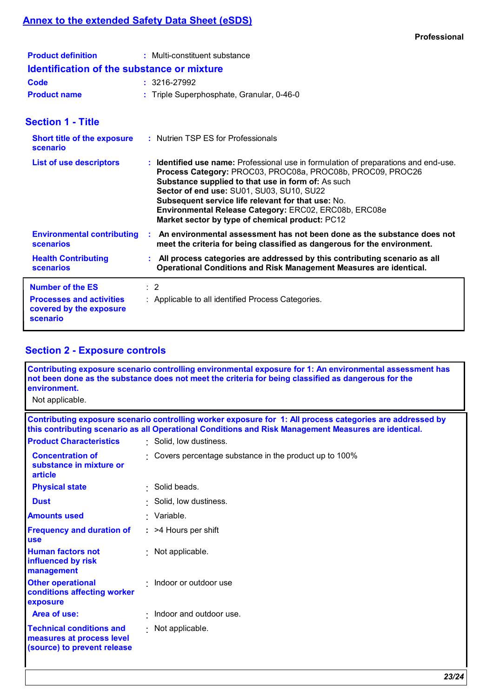| <b>Product definition</b>                         | : Multi-constituent substance             |  |  |
|---------------------------------------------------|-------------------------------------------|--|--|
| <b>Identification of the substance or mixture</b> |                                           |  |  |
| Code                                              | $: 3216 - 27992$                          |  |  |
| <b>Product name</b>                               | : Triple Superphosphate, Granular, 0-46-0 |  |  |

## **Section 1 - Title**

| <b>Short title of the exposure</b><br>scenario                         | : Nutrien TSP ES for Professionals                                                                                                                                                                                                                                                                                                                                                                                     |
|------------------------------------------------------------------------|------------------------------------------------------------------------------------------------------------------------------------------------------------------------------------------------------------------------------------------------------------------------------------------------------------------------------------------------------------------------------------------------------------------------|
| <b>List of use descriptors</b>                                         | : Identified use name: Professional use in formulation of preparations and end-use.<br>Process Category: PROC03, PROC08a, PROC08b, PROC09, PROC26<br>Substance supplied to that use in form of: As such<br>Sector of end use: SU01, SU03, SU10, SU22<br>Subsequent service life relevant for that use: No.<br>Environmental Release Category: ERC02, ERC08b, ERC08e<br>Market sector by type of chemical product: PC12 |
| <b>Environmental contributing</b><br><b>scenarios</b>                  | An environmental assessment has not been done as the substance does not<br>meet the criteria for being classified as dangerous for the environment.                                                                                                                                                                                                                                                                    |
| <b>Health Contributing</b><br><b>scenarios</b>                         | : All process categories are addressed by this contributing scenario as all<br>Operational Conditions and Risk Management Measures are identical.                                                                                                                                                                                                                                                                      |
| <b>Number of the ES</b>                                                | $\therefore$ 2                                                                                                                                                                                                                                                                                                                                                                                                         |
| <b>Processes and activities</b><br>covered by the exposure<br>scenario | : Applicable to all identified Process Categories.                                                                                                                                                                                                                                                                                                                                                                     |

# **Section 2 - Exposure controls**

| Contributing exposure scenario controlling environmental exposure for 1: An environmental assessment has<br>not been done as the substance does not meet the criteria for being classified as dangerous for the<br>environment.<br>Not applicable. |  |  |
|----------------------------------------------------------------------------------------------------------------------------------------------------------------------------------------------------------------------------------------------------|--|--|
| Contributing exposure scenario controlling worker exposure for 1: All process categories are addressed by<br>this contributing scenario as all Operational Conditions and Risk Management Measures are identical.                                  |  |  |
| · Solid, low dustiness.                                                                                                                                                                                                                            |  |  |
| Covers percentage substance in the product up to 100%                                                                                                                                                                                              |  |  |
| · Solid beads.                                                                                                                                                                                                                                     |  |  |
| Solid, low dustiness.                                                                                                                                                                                                                              |  |  |
| · Variable.                                                                                                                                                                                                                                        |  |  |
| $:$ >4 Hours per shift                                                                                                                                                                                                                             |  |  |
| Not applicable.                                                                                                                                                                                                                                    |  |  |
| $\cdot$ Indoor or outdoor use                                                                                                                                                                                                                      |  |  |
| Indoor and outdoor use.                                                                                                                                                                                                                            |  |  |
| : Not applicable.                                                                                                                                                                                                                                  |  |  |
|                                                                                                                                                                                                                                                    |  |  |